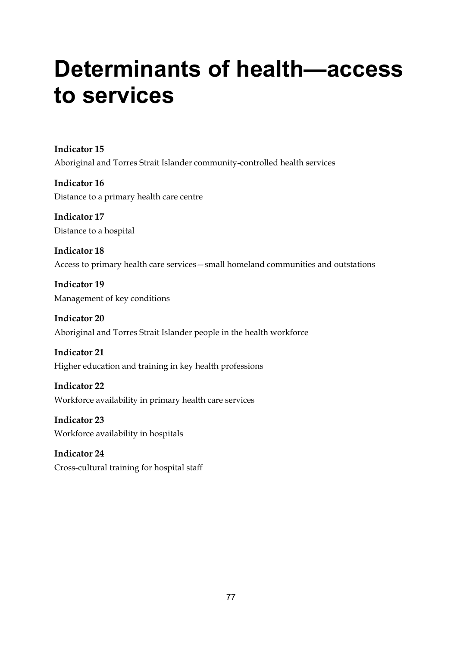# **Determinants of health—access to services**

**Indicator 15**  Aboriginal and Torres Strait Islander community-controlled health services

**Indicator 16**  Distance to a primary health care centre

**Indicator 17**  Distance to a hospital

**Indicator 18**  Access to primary health care services—small homeland communities and outstations

**Indicator 19**  Management of key conditions

**Indicator 20**  Aboriginal and Torres Strait Islander people in the health workforce

**Indicator 21**  Higher education and training in key health professions

**Indicator 22**  Workforce availability in primary health care services

**Indicator 23**  Workforce availability in hospitals

**Indicator 24**  Cross-cultural training for hospital staff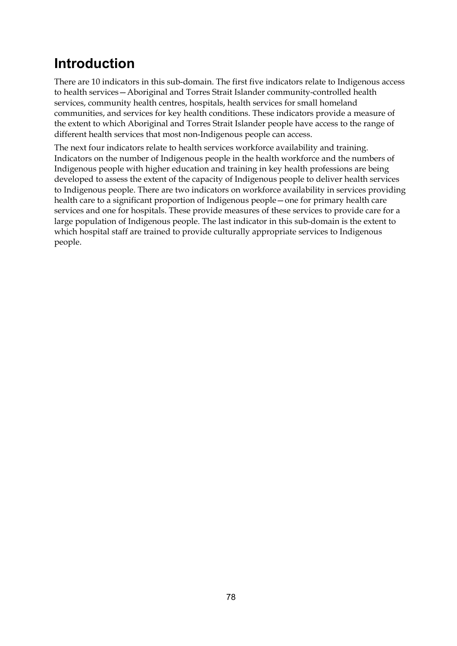# **Introduction**

There are 10 indicators in this sub-domain. The first five indicators relate to Indigenous access to health services—Aboriginal and Torres Strait Islander community-controlled health services, community health centres, hospitals, health services for small homeland communities, and services for key health conditions. These indicators provide a measure of the extent to which Aboriginal and Torres Strait Islander people have access to the range of different health services that most non-Indigenous people can access.

The next four indicators relate to health services workforce availability and training. Indicators on the number of Indigenous people in the health workforce and the numbers of Indigenous people with higher education and training in key health professions are being developed to assess the extent of the capacity of Indigenous people to deliver health services to Indigenous people. There are two indicators on workforce availability in services providing health care to a significant proportion of Indigenous people—one for primary health care services and one for hospitals. These provide measures of these services to provide care for a large population of Indigenous people. The last indicator in this sub-domain is the extent to which hospital staff are trained to provide culturally appropriate services to Indigenous people.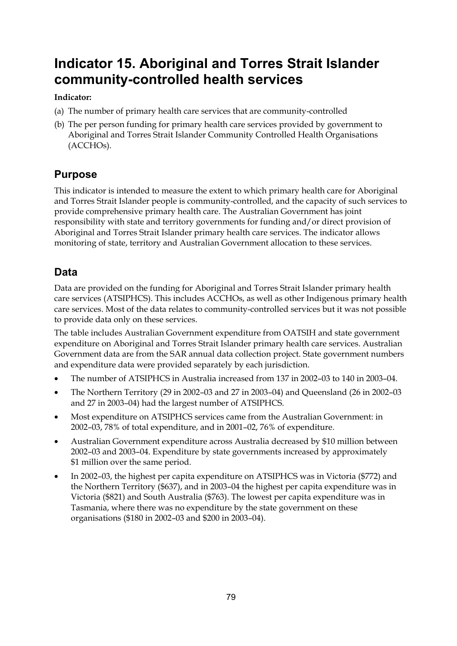# **Indicator 15. Aboriginal and Torres Strait Islander community-controlled health services**

## **Indicator:**

- (a) The number of primary health care services that are community-controlled
- (b) The per person funding for primary health care services provided by government to Aboriginal and Torres Strait Islander Community Controlled Health Organisations (ACCHOs).

# **Purpose**

This indicator is intended to measure the extent to which primary health care for Aboriginal and Torres Strait Islander people is community-controlled, and the capacity of such services to provide comprehensive primary health care. The Australian Government has joint responsibility with state and territory governments for funding and/or direct provision of Aboriginal and Torres Strait Islander primary health care services. The indicator allows monitoring of state, territory and Australian Government allocation to these services.

# **Data**

Data are provided on the funding for Aboriginal and Torres Strait Islander primary health care services (ATSIPHCS). This includes ACCHOs, as well as other Indigenous primary health care services. Most of the data relates to community-controlled services but it was not possible to provide data only on these services.

The table includes Australian Government expenditure from OATSIH and state government expenditure on Aboriginal and Torres Strait Islander primary health care services. Australian Government data are from the SAR annual data collection project. State government numbers and expenditure data were provided separately by each jurisdiction.

- The number of ATSIPHCS in Australia increased from 137 in 2002–03 to 140 in 2003–04.
- The Northern Territory (29 in 2002–03 and 27 in 2003–04) and Queensland (26 in 2002–03 and 27 in 2003–04) had the largest number of ATSIPHCS.
- Most expenditure on ATSIPHCS services came from the Australian Government: in 2002–03, 78% of total expenditure, and in 2001–02, 76% of expenditure.
- Australian Government expenditure across Australia decreased by \$10 million between 2002–03 and 2003–04. Expenditure by state governments increased by approximately \$1 million over the same period.
- In 2002–03, the highest per capita expenditure on ATSIPHCS was in Victoria (\$772) and the Northern Territory (\$637), and in 2003–04 the highest per capita expenditure was in Victoria (\$821) and South Australia (\$763). The lowest per capita expenditure was in Tasmania, where there was no expenditure by the state government on these organisations (\$180 in 2002–03 and \$200 in 2003–04).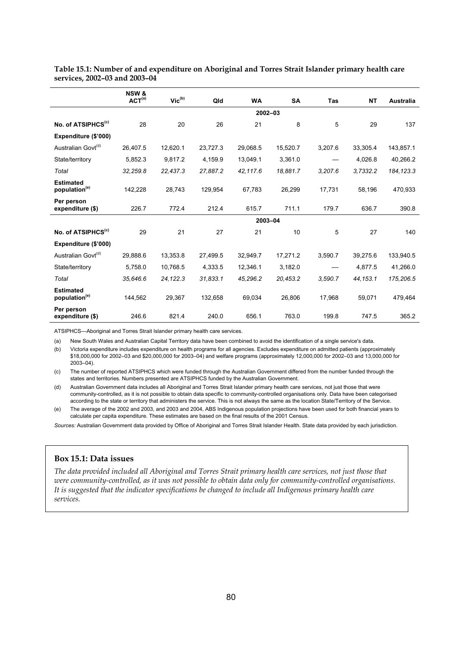|                                               | <b>NSW &amp;</b><br>ACT <sup>(a)</sup> | $\mathsf{Vic}^\mathsf{(b)}$ | Qld      | <b>WA</b>   | <b>SA</b> | <b>Tas</b> | <b>NT</b> | <b>Australia</b> |
|-----------------------------------------------|----------------------------------------|-----------------------------|----------|-------------|-----------|------------|-----------|------------------|
|                                               |                                        |                             |          | $2002 - 03$ |           |            |           |                  |
| No. of ATSIPHCS <sup>(c)</sup>                | 28                                     | 20                          | 26       | 21          | 8         | 5          | 29        | 137              |
| Expenditure (\$'000)                          |                                        |                             |          |             |           |            |           |                  |
| Australian Govt <sup>(d)</sup>                | 26,407.5                               | 12,620.1                    | 23,727.3 | 29,068.5    | 15,520.7  | 3,207.6    | 33,305.4  | 143,857.1        |
| State/territory                               | 5,852.3                                | 9.817.2                     | 4,159.9  | 13,049.1    | 3,361.0   |            | 4,026.8   | 40,266.2         |
| Total                                         | 32,259.8                               | 22,437.3                    | 27,887.2 | 42,117.6    | 18,881.7  | 3,207.6    | 3,7332.2  | 184, 123.3       |
| <b>Estimated</b><br>population <sup>(e)</sup> | 142,228                                | 28,743                      | 129,954  | 67,783      | 26,299    | 17,731     | 58,196    | 470,933          |
| Per person<br>expenditure (\$)                | 226.7                                  | 772.4                       | 212.4    | 615.7       | 711.1     | 179.7      | 636.7     | 390.8            |
|                                               |                                        |                             |          | 2003-04     |           |            |           |                  |
| No. of ATSIPHCS <sup>(c)</sup>                | 29                                     | 21                          | 27       | 21          | 10        | 5          | 27        | 140              |
| Expenditure (\$'000)                          |                                        |                             |          |             |           |            |           |                  |
| Australian Govt <sup>(d)</sup>                | 29,888.6                               | 13,353.8                    | 27,499.5 | 32,949.7    | 17,271.2  | 3,590.7    | 39,275.6  | 133,940.5        |
| State/territory                               | 5,758.0                                | 10,768.5                    | 4,333.5  | 12,346.1    | 3,182.0   |            | 4,877.5   | 41,266.0         |
| Total                                         | 35,646.6                               | 24,122.3                    | 31,833.1 | 45,296.2    | 20,453.2  | 3,590.7    | 44, 153.1 | 175,206.5        |
| <b>Estimated</b><br>population <sup>(e)</sup> | 144,562                                | 29,367                      | 132,658  | 69,034      | 26,806    | 17.968     | 59,071    | 479,464          |
| Per person<br>expenditure (\$)                | 246.6                                  | 821.4                       | 240.0    | 656.1       | 763.0     | 199.8      | 747.5     | 365.2            |

**Table 15.1: Number of and expenditure on Aboriginal and Torres Strait Islander primary health care services, 2002–03 and 2003–04** 

ATSIPHCS—Aboriginal and Torres Strait Islander primary health care services.

(a) New South Wales and Australian Capital Territory data have been combined to avoid the identification of a single service's data.

(b) Victoria expenditure includes expenditure on health programs for all agencies. Excludes expenditure on admitted patients (approximately \$18,000,000 for 2002–03 and \$20,000,000 for 2003–04) and welfare programs (approximately 12,000,000 for 2002–03 and 13,000,000 for 2003–04).

(c) The number of reported ATSIPHCS which were funded through the Australian Government differed from the number funded through the states and territories. Numbers presented are ATSIPHCS funded by the Australian Government.

(d) Australian Government data includes all Aboriginal and Torres Strait Islander primary health care services, not just those that were community-controlled, as it is not possible to obtain data specific to community-controlled organisations only. Data have been categorised according to the state or territory that administers the service. This is not always the same as the location State/Territory of the Service.

(e) The average of the 2002 and 2003, and 2003 and 2004, ABS Indigenous population projections have been used for both financial years to calculate per capita expenditure. These estimates are based on the final results of the 2001 Census.

*Sources:* Australian Government data provided by Office of Aboriginal and Torres Strait Islander Health. State data provided by each jurisdiction.

#### **Box 15.1: Data issues**

*The data provided included all Aboriginal and Torres Strait primary health care services, not just those that were community-controlled, as it was not possible to obtain data only for community-controlled organisations. It is suggested that the indicator specifications be changed to include all Indigenous primary health care services.*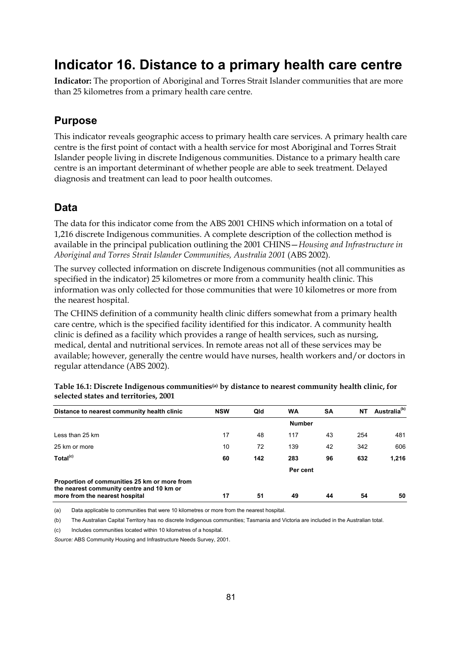# **Indicator 16. Distance to a primary health care centre**

**Indicator:** The proportion of Aboriginal and Torres Strait Islander communities that are more than 25 kilometres from a primary health care centre.

# **Purpose**

This indicator reveals geographic access to primary health care services. A primary health care centre is the first point of contact with a health service for most Aboriginal and Torres Strait Islander people living in discrete Indigenous communities. Distance to a primary health care centre is an important determinant of whether people are able to seek treatment. Delayed diagnosis and treatment can lead to poor health outcomes.

# **Data**

The data for this indicator come from the ABS 2001 CHINS which information on a total of 1,216 discrete Indigenous communities. A complete description of the collection method is available in the principal publication outlining the 2001 CHINS—*Housing and Infrastructure in Aboriginal and Torres Strait Islander Communities, Australia 2001* (ABS 2002).

The survey collected information on discrete Indigenous communities (not all communities as specified in the indicator) 25 kilometres or more from a community health clinic. This information was only collected for those communities that were 10 kilometres or more from the nearest hospital.

The CHINS definition of a community health clinic differs somewhat from a primary health care centre, which is the specified facility identified for this indicator. A community health clinic is defined as a facility which provides a range of health services, such as nursing, medical, dental and nutritional services. In remote areas not all of these services may be available; however, generally the centre would have nurses, health workers and/or doctors in regular attendance (ABS 2002).

| Distance to nearest community health clinic                                               | <b>NSW</b> | Qld | <b>WA</b>     | SΑ | NΤ  | Australia <sup>(b)</sup> |
|-------------------------------------------------------------------------------------------|------------|-----|---------------|----|-----|--------------------------|
|                                                                                           |            |     | <b>Number</b> |    |     |                          |
| Less than 25 km                                                                           | 17         | 48  | 117           | 43 | 254 | 481                      |
| 25 km or more                                                                             | 10         | 72  | 139           | 42 | 342 | 606                      |
| Total <sup>(c)</sup>                                                                      | 60         | 142 | 283           | 96 | 632 | 1,216                    |
|                                                                                           |            |     | Per cent      |    |     |                          |
| Proportion of communities 25 km or more from<br>the nearest community centre and 10 km or |            |     |               |    |     |                          |
| more from the nearest hospital                                                            | 17         | 51  | 49            | 44 | 54  | 50                       |

**Table 16.1: Discrete Indigenous communities(a) by distance to nearest community health clinic, for selected states and territories, 2001** 

(a) Data applicable to communities that were 10 kilometres or more from the nearest hospital.

(b) The Australian Capital Territory has no discrete Indigenous communities; Tasmania and Victoria are included in the Australian total.

(c) Includes communities located within 10 kilometres of a hospital.

*Source:* ABS Community Housing and Infrastructure Needs Survey, 2001.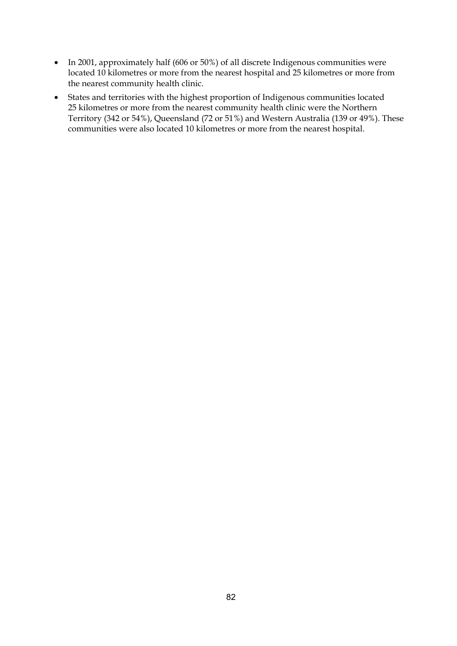- In 2001, approximately half (606 or 50%) of all discrete Indigenous communities were located 10 kilometres or more from the nearest hospital and 25 kilometres or more from the nearest community health clinic.
- States and territories with the highest proportion of Indigenous communities located 25 kilometres or more from the nearest community health clinic were the Northern Territory (342 or 54%), Queensland (72 or 51%) and Western Australia (139 or 49%). These communities were also located 10 kilometres or more from the nearest hospital.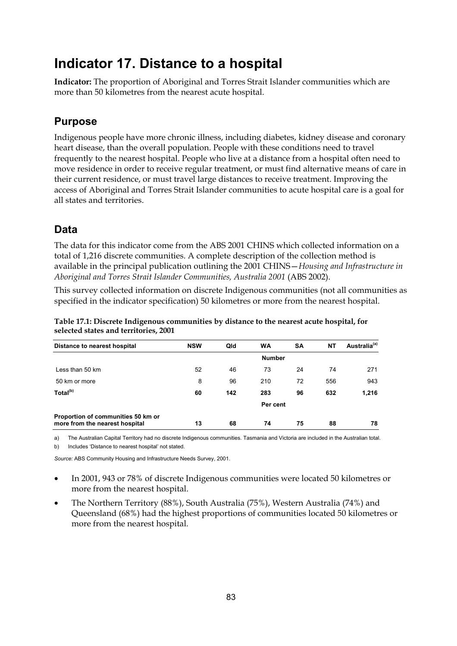# **Indicator 17. Distance to a hospital**

**Indicator:** The proportion of Aboriginal and Torres Strait Islander communities which are more than 50 kilometres from the nearest acute hospital.

# **Purpose**

Indigenous people have more chronic illness, including diabetes, kidney disease and coronary heart disease, than the overall population. People with these conditions need to travel frequently to the nearest hospital. People who live at a distance from a hospital often need to move residence in order to receive regular treatment, or must find alternative means of care in their current residence, or must travel large distances to receive treatment. Improving the access of Aboriginal and Torres Strait Islander communities to acute hospital care is a goal for all states and territories.

# **Data**

The data for this indicator come from the ABS 2001 CHINS which collected information on a total of 1,216 discrete communities. A complete description of the collection method is available in the principal publication outlining the 2001 CHINS—*Housing and Infrastructure in Aboriginal and Torres Strait Islander Communities, Australia 2001* (ABS 2002).

This survey collected information on discrete Indigenous communities (not all communities as specified in the indicator specification) 50 kilometres or more from the nearest hospital.

| Table 17.1: Discrete Indigenous communities by distance to the nearest acute hospital, for |
|--------------------------------------------------------------------------------------------|
| selected states and territories, 2001                                                      |

| Distance to nearest hospital                                         | <b>NSW</b> | Qld | <b>WA</b>     | SΑ | NΤ  | Australia <sup>(a)</sup> |
|----------------------------------------------------------------------|------------|-----|---------------|----|-----|--------------------------|
|                                                                      |            |     | <b>Number</b> |    |     |                          |
| Less than 50 km                                                      | 52         | 46  | 73            | 24 | 74  | 271                      |
| 50 km or more                                                        | 8          | 96  | 210           | 72 | 556 | 943                      |
| Total <sup>(b)</sup>                                                 | 60         | 142 | 283           | 96 | 632 | 1,216                    |
|                                                                      |            |     | Per cent      |    |     |                          |
| Proportion of communities 50 km or<br>more from the nearest hospital | 13         | 68  | 74            | 75 | 88  | 78                       |

a) The Australian Capital Territory had no discrete Indigenous communities. Tasmania and Victoria are included in the Australian total. b) Includes 'Distance to nearest hospital' not stated.

*Source:* ABS Community Housing and Infrastructure Needs Survey, 2001.

- In 2001, 943 or 78% of discrete Indigenous communities were located 50 kilometres or more from the nearest hospital.
- The Northern Territory (88%), South Australia (75%), Western Australia (74%) and Queensland (68%) had the highest proportions of communities located 50 kilometres or more from the nearest hospital.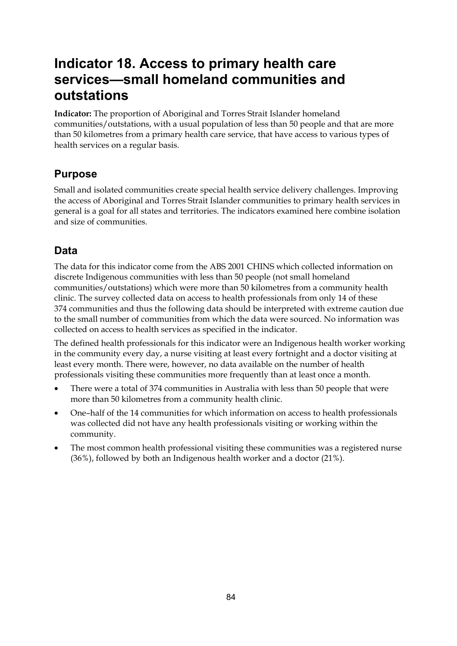# **Indicator 18. Access to primary health care services—small homeland communities and outstations**

**Indicator:** The proportion of Aboriginal and Torres Strait Islander homeland communities/outstations, with a usual population of less than 50 people and that are more than 50 kilometres from a primary health care service, that have access to various types of health services on a regular basis.

# **Purpose**

Small and isolated communities create special health service delivery challenges. Improving the access of Aboriginal and Torres Strait Islander communities to primary health services in general is a goal for all states and territories. The indicators examined here combine isolation and size of communities.

# **Data**

The data for this indicator come from the ABS 2001 CHINS which collected information on discrete Indigenous communities with less than 50 people (not small homeland communities/outstations) which were more than 50 kilometres from a community health clinic. The survey collected data on access to health professionals from only 14 of these 374 communities and thus the following data should be interpreted with extreme caution due to the small number of communities from which the data were sourced. No information was collected on access to health services as specified in the indicator.

The defined health professionals for this indicator were an Indigenous health worker working in the community every day, a nurse visiting at least every fortnight and a doctor visiting at least every month. There were, however, no data available on the number of health professionals visiting these communities more frequently than at least once a month.

- There were a total of 374 communities in Australia with less than 50 people that were more than 50 kilometres from a community health clinic.
- One–half of the 14 communities for which information on access to health professionals was collected did not have any health professionals visiting or working within the community.
- The most common health professional visiting these communities was a registered nurse (36%), followed by both an Indigenous health worker and a doctor (21%).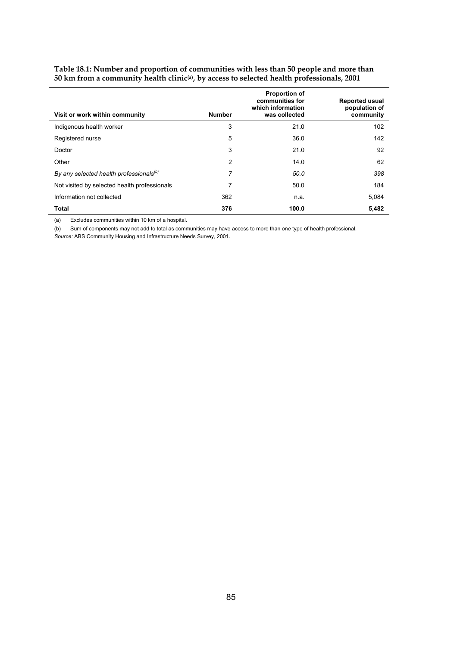| Visit or work within community                      | <b>Number</b> | <b>Proportion of</b><br>communities for<br>which information<br>was collected | <b>Reported usual</b><br>population of<br>community |
|-----------------------------------------------------|---------------|-------------------------------------------------------------------------------|-----------------------------------------------------|
| Indigenous health worker                            | 3             | 21.0                                                                          | 102                                                 |
| Registered nurse                                    | 5             | 36.0                                                                          | 142                                                 |
| Doctor                                              | 3             | 21.0                                                                          | 92                                                  |
| Other                                               | 2             | 14.0                                                                          | 62                                                  |
| By any selected health professionals <sup>(b)</sup> | 7             | 50.0                                                                          | 398                                                 |
| Not visited by selected health professionals        | 7             | 50.0                                                                          | 184                                                 |
| Information not collected                           | 362           | n.a.                                                                          | 5.084                                               |
| <b>Total</b>                                        | 376           | 100.0                                                                         | 5,482                                               |

#### **Table 18.1: Number and proportion of communities with less than 50 people and more than 50 km from a community health clinic(a), by access to selected health professionals, 2001**

(a) Excludes communities within 10 km of a hospital.

(b) Sum of components may not add to total as communities may have access to more than one type of health professional.

*Source:* ABS Community Housing and Infrastructure Needs Survey, 2001.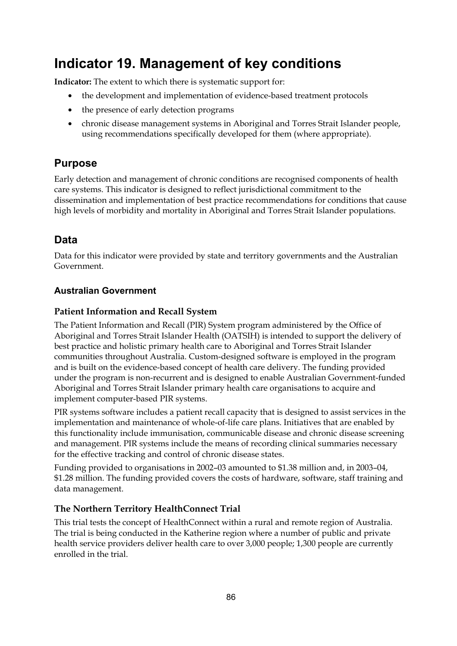# **Indicator 19. Management of key conditions**

**Indicator:** The extent to which there is systematic support for:

- the development and implementation of evidence-based treatment protocols
- the presence of early detection programs
- chronic disease management systems in Aboriginal and Torres Strait Islander people, using recommendations specifically developed for them (where appropriate).

# **Purpose**

Early detection and management of chronic conditions are recognised components of health care systems. This indicator is designed to reflect jurisdictional commitment to the dissemination and implementation of best practice recommendations for conditions that cause high levels of morbidity and mortality in Aboriginal and Torres Strait Islander populations.

# **Data**

Data for this indicator were provided by state and territory governments and the Australian Government.

# **Australian Government**

## **Patient Information and Recall System**

The Patient Information and Recall (PIR) System program administered by the Office of Aboriginal and Torres Strait Islander Health (OATSIH) is intended to support the delivery of best practice and holistic primary health care to Aboriginal and Torres Strait Islander communities throughout Australia. Custom-designed software is employed in the program and is built on the evidence-based concept of health care delivery. The funding provided under the program is non-recurrent and is designed to enable Australian Government-funded Aboriginal and Torres Strait Islander primary health care organisations to acquire and implement computer-based PIR systems.

PIR systems software includes a patient recall capacity that is designed to assist services in the implementation and maintenance of whole-of-life care plans. Initiatives that are enabled by this functionality include immunisation, communicable disease and chronic disease screening and management. PIR systems include the means of recording clinical summaries necessary for the effective tracking and control of chronic disease states.

Funding provided to organisations in 2002–03 amounted to \$1.38 million and, in 2003–04, \$1.28 million. The funding provided covers the costs of hardware, software, staff training and data management.

# **The Northern Territory HealthConnect Trial**

This trial tests the concept of HealthConnect within a rural and remote region of Australia. The trial is being conducted in the Katherine region where a number of public and private health service providers deliver health care to over 3,000 people; 1,300 people are currently enrolled in the trial.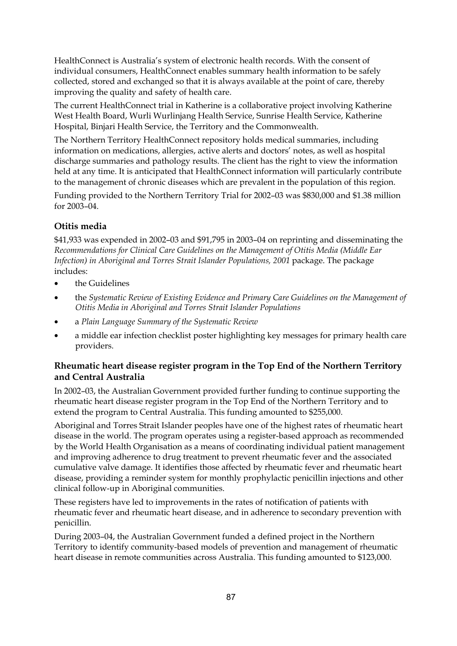HealthConnect is Australia's system of electronic health records. With the consent of individual consumers, HealthConnect enables summary health information to be safely collected, stored and exchanged so that it is always available at the point of care, thereby improving the quality and safety of health care.

The current HealthConnect trial in Katherine is a collaborative project involving Katherine West Health Board, Wurli Wurlinjang Health Service, Sunrise Health Service, Katherine Hospital, Binjari Health Service, the Territory and the Commonwealth.

The Northern Territory HealthConnect repository holds medical summaries, including information on medications, allergies, active alerts and doctors' notes, as well as hospital discharge summaries and pathology results. The client has the right to view the information held at any time. It is anticipated that HealthConnect information will particularly contribute to the management of chronic diseases which are prevalent in the population of this region.

Funding provided to the Northern Territory Trial for 2002–03 was \$830,000 and \$1.38 million for 2003–04.

### **Otitis media**

\$41,933 was expended in 2002–03 and \$91,795 in 2003–04 on reprinting and disseminating the *Recommendations for Clinical Care Guidelines on the Management of Otitis Media (Middle Ear Infection) in Aboriginal and Torres Strait Islander Populations, 2001 package. The package* includes:

- the Guidelines
- the *Systematic Review of Existing Evidence and Primary Care Guidelines on the Management of Otitis Media in Aboriginal and Torres Strait Islander Populations*
- a *Plain Language Summary of the Systematic Review*
- a middle ear infection checklist poster highlighting key messages for primary health care providers.

## **Rheumatic heart disease register program in the Top End of the Northern Territory and Central Australia**

In 2002–03, the Australian Government provided further funding to continue supporting the rheumatic heart disease register program in the Top End of the Northern Territory and to extend the program to Central Australia. This funding amounted to \$255,000.

Aboriginal and Torres Strait Islander peoples have one of the highest rates of rheumatic heart disease in the world. The program operates using a register-based approach as recommended by the World Health Organisation as a means of coordinating individual patient management and improving adherence to drug treatment to prevent rheumatic fever and the associated cumulative valve damage. It identifies those affected by rheumatic fever and rheumatic heart disease, providing a reminder system for monthly prophylactic penicillin injections and other clinical follow-up in Aboriginal communities.

These registers have led to improvements in the rates of notification of patients with rheumatic fever and rheumatic heart disease, and in adherence to secondary prevention with penicillin.

During 2003–04, the Australian Government funded a defined project in the Northern Territory to identify community-based models of prevention and management of rheumatic heart disease in remote communities across Australia. This funding amounted to \$123,000.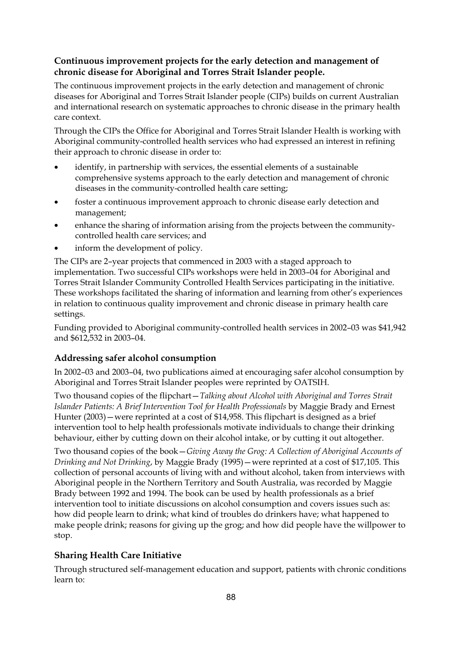## **Continuous improvement projects for the early detection and management of chronic disease for Aboriginal and Torres Strait Islander people.**

The continuous improvement projects in the early detection and management of chronic diseases for Aboriginal and Torres Strait Islander people (CIPs) builds on current Australian and international research on systematic approaches to chronic disease in the primary health care context.

Through the CIPs the Office for Aboriginal and Torres Strait Islander Health is working with Aboriginal community-controlled health services who had expressed an interest in refining their approach to chronic disease in order to:

- identify, in partnership with services, the essential elements of a sustainable comprehensive systems approach to the early detection and management of chronic diseases in the community-controlled health care setting;
- foster a continuous improvement approach to chronic disease early detection and management;
- enhance the sharing of information arising from the projects between the communitycontrolled health care services; and
- inform the development of policy.

The CIPs are 2–year projects that commenced in 2003 with a staged approach to implementation. Two successful CIPs workshops were held in 2003–04 for Aboriginal and Torres Strait Islander Community Controlled Health Services participating in the initiative. These workshops facilitated the sharing of information and learning from other's experiences in relation to continuous quality improvement and chronic disease in primary health care settings.

Funding provided to Aboriginal community-controlled health services in 2002–03 was \$41,942 and \$612,532 in 2003–04.

### **Addressing safer alcohol consumption**

In 2002–03 and 2003–04, two publications aimed at encouraging safer alcohol consumption by Aboriginal and Torres Strait Islander peoples were reprinted by OATSIH.

Two thousand copies of the flipchart—*Talking about Alcohol with Aboriginal and Torres Strait Islander Patients: A Brief Intervention Tool for Health Professionals* by Maggie Brady and Ernest Hunter (2003)—were reprinted at a cost of \$14,958. This flipchart is designed as a brief intervention tool to help health professionals motivate individuals to change their drinking behaviour, either by cutting down on their alcohol intake, or by cutting it out altogether.

Two thousand copies of the book—*Giving Away the Grog: A Collection of Aboriginal Accounts of Drinking and Not Drinking*, by Maggie Brady (1995)—were reprinted at a cost of \$17,105. This collection of personal accounts of living with and without alcohol, taken from interviews with Aboriginal people in the Northern Territory and South Australia, was recorded by Maggie Brady between 1992 and 1994. The book can be used by health professionals as a brief intervention tool to initiate discussions on alcohol consumption and covers issues such as: how did people learn to drink; what kind of troubles do drinkers have; what happened to make people drink; reasons for giving up the grog; and how did people have the willpower to stop.

# **Sharing Health Care Initiative**

Through structured self-management education and support, patients with chronic conditions learn to: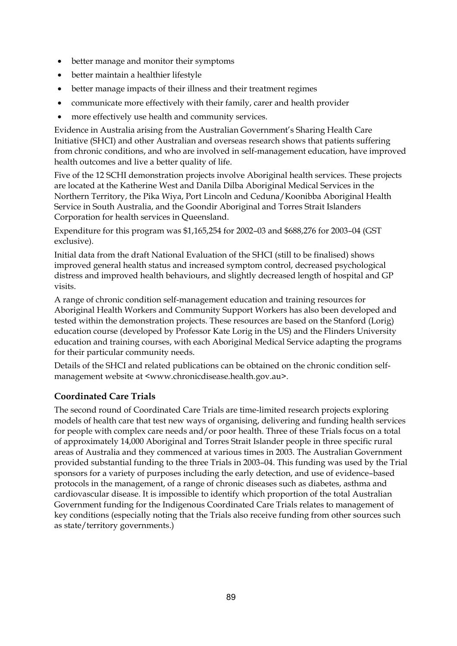- better manage and monitor their symptoms
- better maintain a healthier lifestyle
- better manage impacts of their illness and their treatment regimes
- communicate more effectively with their family, carer and health provider
- more effectively use health and community services.

Evidence in Australia arising from the Australian Government's Sharing Health Care Initiative (SHCI) and other Australian and overseas research shows that patients suffering from chronic conditions, and who are involved in self-management education, have improved health outcomes and live a better quality of life.

Five of the 12 SCHI demonstration projects involve Aboriginal health services. These projects are located at the Katherine West and Danila Dilba Aboriginal Medical Services in the Northern Territory, the Pika Wiya, Port Lincoln and Ceduna/Koonibba Aboriginal Health Service in South Australia, and the Goondir Aboriginal and Torres Strait Islanders Corporation for health services in Queensland.

Expenditure for this program was \$1,165,254 for 2002–03 and \$688,276 for 2003–04 (GST exclusive).

Initial data from the draft National Evaluation of the SHCI (still to be finalised) shows improved general health status and increased symptom control, decreased psychological distress and improved health behaviours, and slightly decreased length of hospital and GP visits.

A range of chronic condition self-management education and training resources for Aboriginal Health Workers and Community Support Workers has also been developed and tested within the demonstration projects. These resources are based on the Stanford (Lorig) education course (developed by Professor Kate Lorig in the US) and the Flinders University education and training courses, with each Aboriginal Medical Service adapting the programs for their particular community needs.

Details of the SHCI and related publications can be obtained on the chronic condition selfmanagement website at <www.chronicdisease.health.gov.au>.

# **Coordinated Care Trials**

The second round of Coordinated Care Trials are time-limited research projects exploring models of health care that test new ways of organising, delivering and funding health services for people with complex care needs and/or poor health. Three of these Trials focus on a total of approximately 14,000 Aboriginal and Torres Strait Islander people in three specific rural areas of Australia and they commenced at various times in 2003. The Australian Government provided substantial funding to the three Trials in 2003–04. This funding was used by the Trial sponsors for a variety of purposes including the early detection, and use of evidence–based protocols in the management, of a range of chronic diseases such as diabetes, asthma and cardiovascular disease. It is impossible to identify which proportion of the total Australian Government funding for the Indigenous Coordinated Care Trials relates to management of key conditions (especially noting that the Trials also receive funding from other sources such as state/territory governments.)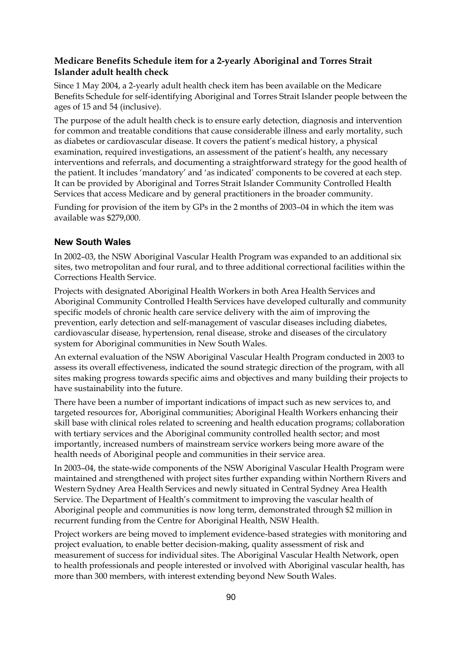### **Medicare Benefits Schedule item for a 2-yearly Aboriginal and Torres Strait Islander adult health check**

Since 1 May 2004, a 2-yearly adult health check item has been available on the Medicare Benefits Schedule for self-identifying Aboriginal and Torres Strait Islander people between the ages of 15 and 54 (inclusive).

The purpose of the adult health check is to ensure early detection, diagnosis and intervention for common and treatable conditions that cause considerable illness and early mortality, such as diabetes or cardiovascular disease. It covers the patient's medical history, a physical examination, required investigations, an assessment of the patient's health, any necessary interventions and referrals, and documenting a straightforward strategy for the good health of the patient. It includes 'mandatory' and 'as indicated' components to be covered at each step. It can be provided by Aboriginal and Torres Strait Islander Community Controlled Health Services that access Medicare and by general practitioners in the broader community.

Funding for provision of the item by GPs in the 2 months of 2003–04 in which the item was available was \$279,000.

## **New South Wales**

In 2002–03, the NSW Aboriginal Vascular Health Program was expanded to an additional six sites, two metropolitan and four rural, and to three additional correctional facilities within the Corrections Health Service.

Projects with designated Aboriginal Health Workers in both Area Health Services and Aboriginal Community Controlled Health Services have developed culturally and community specific models of chronic health care service delivery with the aim of improving the prevention, early detection and self-management of vascular diseases including diabetes, cardiovascular disease, hypertension, renal disease, stroke and diseases of the circulatory system for Aboriginal communities in New South Wales.

An external evaluation of the NSW Aboriginal Vascular Health Program conducted in 2003 to assess its overall effectiveness, indicated the sound strategic direction of the program, with all sites making progress towards specific aims and objectives and many building their projects to have sustainability into the future.

There have been a number of important indications of impact such as new services to, and targeted resources for, Aboriginal communities; Aboriginal Health Workers enhancing their skill base with clinical roles related to screening and health education programs; collaboration with tertiary services and the Aboriginal community controlled health sector; and most importantly, increased numbers of mainstream service workers being more aware of the health needs of Aboriginal people and communities in their service area.

In 2003–04, the state-wide components of the NSW Aboriginal Vascular Health Program were maintained and strengthened with project sites further expanding within Northern Rivers and Western Sydney Area Health Services and newly situated in Central Sydney Area Health Service. The Department of Health's commitment to improving the vascular health of Aboriginal people and communities is now long term, demonstrated through \$2 million in recurrent funding from the Centre for Aboriginal Health, NSW Health.

Project workers are being moved to implement evidence-based strategies with monitoring and project evaluation, to enable better decision-making, quality assessment of risk and measurement of success for individual sites. The Aboriginal Vascular Health Network, open to health professionals and people interested or involved with Aboriginal vascular health, has more than 300 members, with interest extending beyond New South Wales.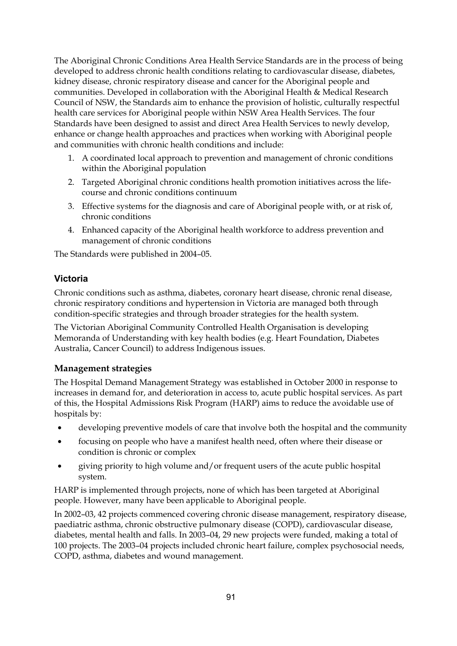The Aboriginal Chronic Conditions Area Health Service Standards are in the process of being developed to address chronic health conditions relating to cardiovascular disease, diabetes, kidney disease, chronic respiratory disease and cancer for the Aboriginal people and communities. Developed in collaboration with the Aboriginal Health & Medical Research Council of NSW, the Standards aim to enhance the provision of holistic, culturally respectful health care services for Aboriginal people within NSW Area Health Services. The four Standards have been designed to assist and direct Area Health Services to newly develop, enhance or change health approaches and practices when working with Aboriginal people and communities with chronic health conditions and include:

- 1. A coordinated local approach to prevention and management of chronic conditions within the Aboriginal population
- 2. Targeted Aboriginal chronic conditions health promotion initiatives across the lifecourse and chronic conditions continuum
- 3. Effective systems for the diagnosis and care of Aboriginal people with, or at risk of, chronic conditions
- 4. Enhanced capacity of the Aboriginal health workforce to address prevention and management of chronic conditions

The Standards were published in 2004–05.

## **Victoria**

Chronic conditions such as asthma, diabetes, coronary heart disease, chronic renal disease, chronic respiratory conditions and hypertension in Victoria are managed both through condition-specific strategies and through broader strategies for the health system.

The Victorian Aboriginal Community Controlled Health Organisation is developing Memoranda of Understanding with key health bodies (e.g. Heart Foundation, Diabetes Australia, Cancer Council) to address Indigenous issues.

### **Management strategies**

The Hospital Demand Management Strategy was established in October 2000 in response to increases in demand for, and deterioration in access to, acute public hospital services. As part of this, the Hospital Admissions Risk Program (HARP) aims to reduce the avoidable use of hospitals by:

- developing preventive models of care that involve both the hospital and the community
- focusing on people who have a manifest health need, often where their disease or condition is chronic or complex
- giving priority to high volume and/or frequent users of the acute public hospital system.

HARP is implemented through projects, none of which has been targeted at Aboriginal people. However, many have been applicable to Aboriginal people.

In 2002–03, 42 projects commenced covering chronic disease management, respiratory disease, paediatric asthma, chronic obstructive pulmonary disease (COPD), cardiovascular disease, diabetes, mental health and falls. In 2003–04, 29 new projects were funded, making a total of 100 projects. The 2003–04 projects included chronic heart failure, complex psychosocial needs, COPD, asthma, diabetes and wound management.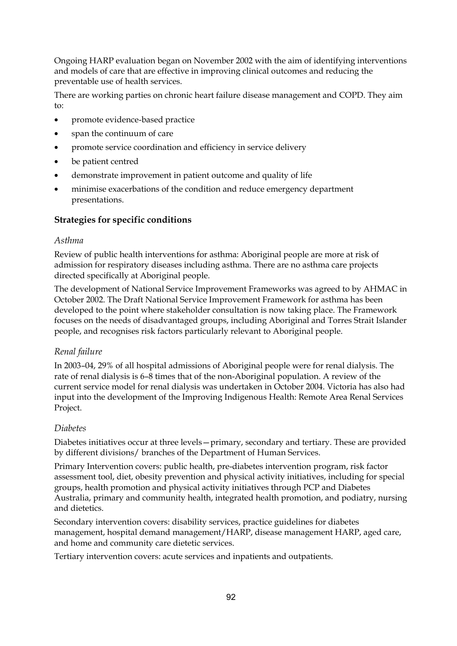Ongoing HARP evaluation began on November 2002 with the aim of identifying interventions and models of care that are effective in improving clinical outcomes and reducing the preventable use of health services.

There are working parties on chronic heart failure disease management and COPD. They aim to:

- promote evidence-based practice
- span the continuum of care
- promote service coordination and efficiency in service delivery
- be patient centred
- demonstrate improvement in patient outcome and quality of life
- minimise exacerbations of the condition and reduce emergency department presentations.

### **Strategies for specific conditions**

#### *Asthma*

Review of public health interventions for asthma: Aboriginal people are more at risk of admission for respiratory diseases including asthma. There are no asthma care projects directed specifically at Aboriginal people.

The development of National Service Improvement Frameworks was agreed to by AHMAC in October 2002. The Draft National Service Improvement Framework for asthma has been developed to the point where stakeholder consultation is now taking place. The Framework focuses on the needs of disadvantaged groups, including Aboriginal and Torres Strait Islander people, and recognises risk factors particularly relevant to Aboriginal people.

### *Renal failure*

In 2003–04, 29% of all hospital admissions of Aboriginal people were for renal dialysis. The rate of renal dialysis is 6–8 times that of the non-Aboriginal population. A review of the current service model for renal dialysis was undertaken in October 2004. Victoria has also had input into the development of the Improving Indigenous Health: Remote Area Renal Services Project.

#### *Diabetes*

Diabetes initiatives occur at three levels—primary, secondary and tertiary. These are provided by different divisions/ branches of the Department of Human Services.

Primary Intervention covers: public health, pre-diabetes intervention program, risk factor assessment tool, diet, obesity prevention and physical activity initiatives, including for special groups, health promotion and physical activity initiatives through PCP and Diabetes Australia, primary and community health, integrated health promotion, and podiatry, nursing and dietetics.

Secondary intervention covers: disability services, practice guidelines for diabetes management, hospital demand management/HARP, disease management HARP, aged care, and home and community care dietetic services.

Tertiary intervention covers: acute services and inpatients and outpatients.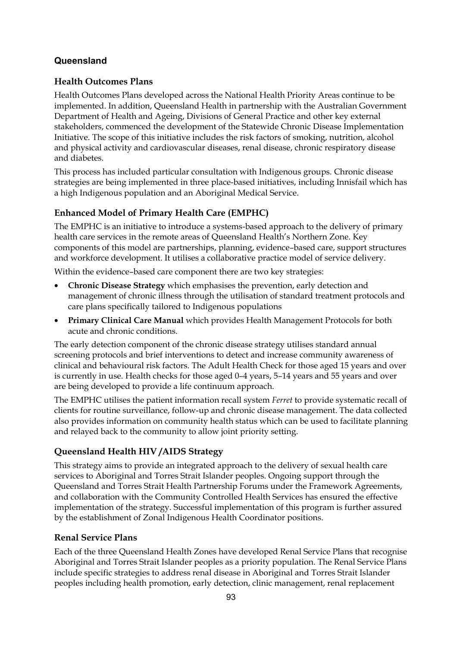# **Queensland**

## **Health Outcomes Plans**

Health Outcomes Plans developed across the National Health Priority Areas continue to be implemented. In addition, Queensland Health in partnership with the Australian Government Department of Health and Ageing, Divisions of General Practice and other key external stakeholders, commenced the development of the Statewide Chronic Disease Implementation Initiative. The scope of this initiative includes the risk factors of smoking, nutrition, alcohol and physical activity and cardiovascular diseases, renal disease, chronic respiratory disease and diabetes.

This process has included particular consultation with Indigenous groups. Chronic disease strategies are being implemented in three place-based initiatives, including Innisfail which has a high Indigenous population and an Aboriginal Medical Service.

# **Enhanced Model of Primary Health Care (EMPHC)**

The EMPHC is an initiative to introduce a systems-based approach to the delivery of primary health care services in the remote areas of Queensland Health's Northern Zone. Key components of this model are partnerships, planning, evidence–based care, support structures and workforce development. It utilises a collaborative practice model of service delivery.

Within the evidence–based care component there are two key strategies:

- **Chronic Disease Strategy** which emphasises the prevention, early detection and management of chronic illness through the utilisation of standard treatment protocols and care plans specifically tailored to Indigenous populations
- **Primary Clinical Care Manual** which provides Health Management Protocols for both acute and chronic conditions.

The early detection component of the chronic disease strategy utilises standard annual screening protocols and brief interventions to detect and increase community awareness of clinical and behavioural risk factors. The Adult Health Check for those aged 15 years and over is currently in use. Health checks for those aged 0–4 years, 5–14 years and 55 years and over are being developed to provide a life continuum approach.

The EMPHC utilises the patient information recall system *Ferret* to provide systematic recall of clients for routine surveillance, follow-up and chronic disease management. The data collected also provides information on community health status which can be used to facilitate planning and relayed back to the community to allow joint priority setting.

# **Queensland Health HIV /AIDS Strategy**

This strategy aims to provide an integrated approach to the delivery of sexual health care services to Aboriginal and Torres Strait Islander peoples. Ongoing support through the Queensland and Torres Strait Health Partnership Forums under the Framework Agreements, and collaboration with the Community Controlled Health Services has ensured the effective implementation of the strategy. Successful implementation of this program is further assured by the establishment of Zonal Indigenous Health Coordinator positions.

# **Renal Service Plans**

Each of the three Queensland Health Zones have developed Renal Service Plans that recognise Aboriginal and Torres Strait Islander peoples as a priority population. The Renal Service Plans include specific strategies to address renal disease in Aboriginal and Torres Strait Islander peoples including health promotion, early detection, clinic management, renal replacement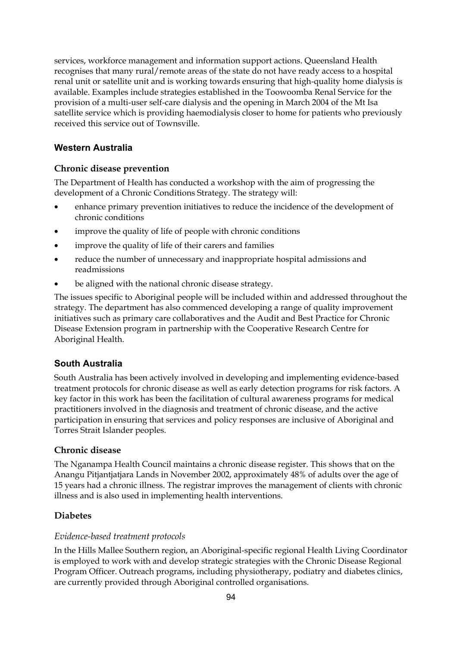services, workforce management and information support actions. Queensland Health recognises that many rural/remote areas of the state do not have ready access to a hospital renal unit or satellite unit and is working towards ensuring that high-quality home dialysis is available. Examples include strategies established in the Toowoomba Renal Service for the provision of a multi-user self-care dialysis and the opening in March 2004 of the Mt Isa satellite service which is providing haemodialysis closer to home for patients who previously received this service out of Townsville.

## **Western Australia**

### **Chronic disease prevention**

The Department of Health has conducted a workshop with the aim of progressing the development of a Chronic Conditions Strategy. The strategy will:

- enhance primary prevention initiatives to reduce the incidence of the development of chronic conditions
- improve the quality of life of people with chronic conditions
- improve the quality of life of their carers and families
- reduce the number of unnecessary and inappropriate hospital admissions and readmissions
- be aligned with the national chronic disease strategy.

The issues specific to Aboriginal people will be included within and addressed throughout the strategy. The department has also commenced developing a range of quality improvement initiatives such as primary care collaboratives and the Audit and Best Practice for Chronic Disease Extension program in partnership with the Cooperative Research Centre for Aboriginal Health.

### **South Australia**

South Australia has been actively involved in developing and implementing evidence-based treatment protocols for chronic disease as well as early detection programs for risk factors. A key factor in this work has been the facilitation of cultural awareness programs for medical practitioners involved in the diagnosis and treatment of chronic disease, and the active participation in ensuring that services and policy responses are inclusive of Aboriginal and Torres Strait Islander peoples.

#### **Chronic disease**

The Nganampa Health Council maintains a chronic disease register. This shows that on the Anangu Pitjantjatjara Lands in November 2002, approximately 48% of adults over the age of 15 years had a chronic illness. The registrar improves the management of clients with chronic illness and is also used in implementing health interventions.

### **Diabetes**

#### *Evidence-based treatment protocols*

In the Hills Mallee Southern region, an Aboriginal-specific regional Health Living Coordinator is employed to work with and develop strategic strategies with the Chronic Disease Regional Program Officer. Outreach programs, including physiotherapy, podiatry and diabetes clinics, are currently provided through Aboriginal controlled organisations.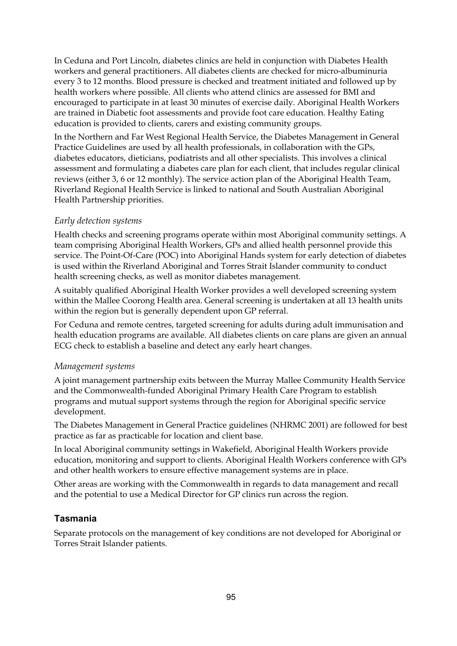In Ceduna and Port Lincoln, diabetes clinics are held in conjunction with Diabetes Health workers and general practitioners. All diabetes clients are checked for micro-albuminuria every 3 to 12 months. Blood pressure is checked and treatment initiated and followed up by health workers where possible. All clients who attend clinics are assessed for BMI and encouraged to participate in at least 30 minutes of exercise daily. Aboriginal Health Workers are trained in Diabetic foot assessments and provide foot care education. Healthy Eating education is provided to clients, carers and existing community groups.

In the Northern and Far West Regional Health Service, the Diabetes Management in General Practice Guidelines are used by all health professionals, in collaboration with the GPs, diabetes educators, dieticians, podiatrists and all other specialists. This involves a clinical assessment and formulating a diabetes care plan for each client, that includes regular clinical reviews (either 3, 6 or 12 monthly). The service action plan of the Aboriginal Health Team, Riverland Regional Health Service is linked to national and South Australian Aboriginal Health Partnership priorities.

#### *Early detection systems*

Health checks and screening programs operate within most Aboriginal community settings. A team comprising Aboriginal Health Workers, GPs and allied health personnel provide this service. The Point-Of-Care (POC) into Aboriginal Hands system for early detection of diabetes is used within the Riverland Aboriginal and Torres Strait Islander community to conduct health screening checks, as well as monitor diabetes management.

A suitably qualified Aboriginal Health Worker provides a well developed screening system within the Mallee Coorong Health area. General screening is undertaken at all 13 health units within the region but is generally dependent upon GP referral.

For Ceduna and remote centres, targeted screening for adults during adult immunisation and health education programs are available. All diabetes clients on care plans are given an annual ECG check to establish a baseline and detect any early heart changes.

#### *Management systems*

A joint management partnership exits between the Murray Mallee Community Health Service and the Commonwealth-funded Aboriginal Primary Health Care Program to establish programs and mutual support systems through the region for Aboriginal specific service development.

The Diabetes Management in General Practice guidelines (NHRMC 2001) are followed for best practice as far as practicable for location and client base.

In local Aboriginal community settings in Wakefield, Aboriginal Health Workers provide education, monitoring and support to clients. Aboriginal Health Workers conference with GPs and other health workers to ensure effective management systems are in place.

Other areas are working with the Commonwealth in regards to data management and recall and the potential to use a Medical Director for GP clinics run across the region.

### **Tasmania**

Separate protocols on the management of key conditions are not developed for Aboriginal or Torres Strait Islander patients.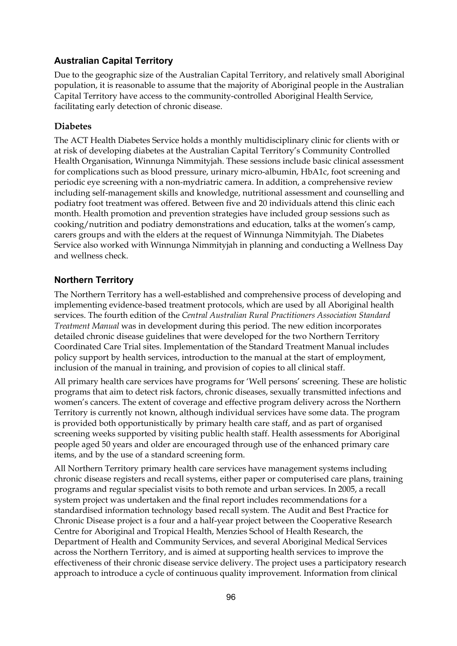### **Australian Capital Territory**

Due to the geographic size of the Australian Capital Territory, and relatively small Aboriginal population, it is reasonable to assume that the majority of Aboriginal people in the Australian Capital Territory have access to the community-controlled Aboriginal Health Service, facilitating early detection of chronic disease.

#### **Diabetes**

The ACT Health Diabetes Service holds a monthly multidisciplinary clinic for clients with or at risk of developing diabetes at the Australian Capital Territory's Community Controlled Health Organisation, Winnunga Nimmityjah. These sessions include basic clinical assessment for complications such as blood pressure, urinary micro-albumin, HbA1c, foot screening and periodic eye screening with a non-mydriatric camera. In addition, a comprehensive review including self-management skills and knowledge, nutritional assessment and counselling and podiatry foot treatment was offered. Between five and 20 individuals attend this clinic each month. Health promotion and prevention strategies have included group sessions such as cooking/nutrition and podiatry demonstrations and education, talks at the women's camp, carers groups and with the elders at the request of Winnunga Nimmityjah. The Diabetes Service also worked with Winnunga Nimmityjah in planning and conducting a Wellness Day and wellness check.

### **Northern Territory**

The Northern Territory has a well-established and comprehensive process of developing and implementing evidence-based treatment protocols, which are used by all Aboriginal health services. The fourth edition of the *Central Australian Rural Practitioners Association Standard Treatment Manual* was in development during this period. The new edition incorporates detailed chronic disease guidelines that were developed for the two Northern Territory Coordinated Care Trial sites. Implementation of the Standard Treatment Manual includes policy support by health services, introduction to the manual at the start of employment, inclusion of the manual in training, and provision of copies to all clinical staff.

All primary health care services have programs for 'Well persons' screening. These are holistic programs that aim to detect risk factors, chronic diseases, sexually transmitted infections and women's cancers. The extent of coverage and effective program delivery across the Northern Territory is currently not known, although individual services have some data. The program is provided both opportunistically by primary health care staff, and as part of organised screening weeks supported by visiting public health staff. Health assessments for Aboriginal people aged 50 years and older are encouraged through use of the enhanced primary care items, and by the use of a standard screening form.

All Northern Territory primary health care services have management systems including chronic disease registers and recall systems, either paper or computerised care plans, training programs and regular specialist visits to both remote and urban services. In 2005, a recall system project was undertaken and the final report includes recommendations for a standardised information technology based recall system. The Audit and Best Practice for Chronic Disease project is a four and a half-year project between the Cooperative Research Centre for Aboriginal and Tropical Health, Menzies School of Health Research, the Department of Health and Community Services, and several Aboriginal Medical Services across the Northern Territory, and is aimed at supporting health services to improve the effectiveness of their chronic disease service delivery. The project uses a participatory research approach to introduce a cycle of continuous quality improvement. Information from clinical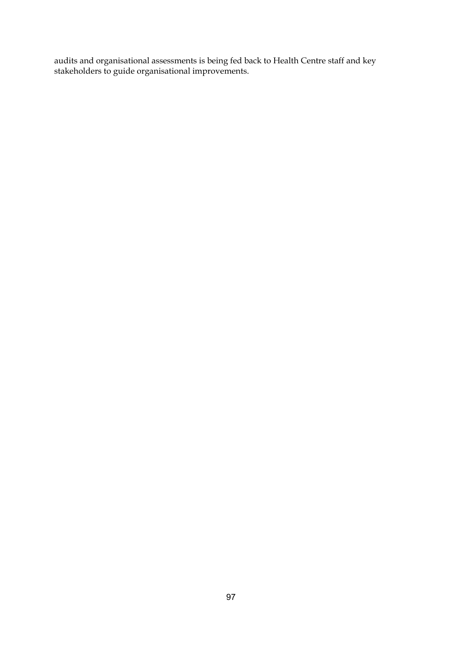audits and organisational assessments is being fed back to Health Centre staff and key stakeholders to guide organisational improvements.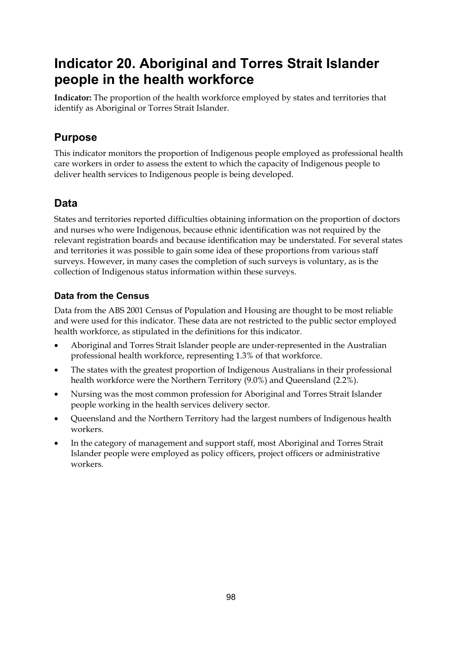# **Indicator 20. Aboriginal and Torres Strait Islander people in the health workforce**

**Indicator:** The proportion of the health workforce employed by states and territories that identify as Aboriginal or Torres Strait Islander.

# **Purpose**

This indicator monitors the proportion of Indigenous people employed as professional health care workers in order to assess the extent to which the capacity of Indigenous people to deliver health services to Indigenous people is being developed.

# **Data**

States and territories reported difficulties obtaining information on the proportion of doctors and nurses who were Indigenous, because ethnic identification was not required by the relevant registration boards and because identification may be understated. For several states and territories it was possible to gain some idea of these proportions from various staff surveys. However, in many cases the completion of such surveys is voluntary, as is the collection of Indigenous status information within these surveys.

# **Data from the Census**

Data from the ABS 2001 Census of Population and Housing are thought to be most reliable and were used for this indicator. These data are not restricted to the public sector employed health workforce, as stipulated in the definitions for this indicator.

- Aboriginal and Torres Strait Islander people are under-represented in the Australian professional health workforce, representing 1.3% of that workforce.
- The states with the greatest proportion of Indigenous Australians in their professional health workforce were the Northern Territory (9.0%) and Queensland (2.2%).
- Nursing was the most common profession for Aboriginal and Torres Strait Islander people working in the health services delivery sector.
- Queensland and the Northern Territory had the largest numbers of Indigenous health workers.
- In the category of management and support staff, most Aboriginal and Torres Strait Islander people were employed as policy officers, project officers or administrative workers.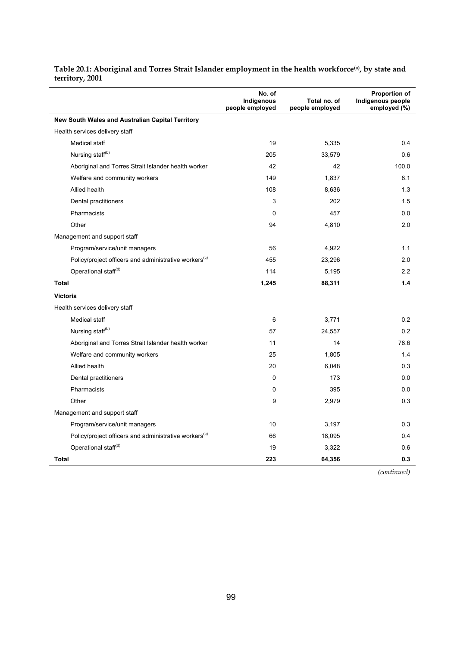|                                                                   | No. of<br>Indigenous<br>people employed | Total no. of<br>people employed | <b>Proportion of</b><br>Indigenous people<br>employed (%) |
|-------------------------------------------------------------------|-----------------------------------------|---------------------------------|-----------------------------------------------------------|
| New South Wales and Australian Capital Territory                  |                                         |                                 |                                                           |
| Health services delivery staff                                    |                                         |                                 |                                                           |
| Medical staff                                                     | 19                                      | 5,335                           | 0.4                                                       |
| Nursing staff <sup>(b)</sup>                                      | 205                                     | 33,579                          | 0.6                                                       |
| Aboriginal and Torres Strait Islander health worker               | 42                                      | 42                              | 100.0                                                     |
| Welfare and community workers                                     | 149                                     | 1,837                           | 8.1                                                       |
| Allied health                                                     | 108                                     | 8,636                           | 1.3                                                       |
| Dental practitioners                                              | 3                                       | 202                             | 1.5                                                       |
| Pharmacists                                                       | $\Omega$                                | 457                             | 0.0                                                       |
| Other                                                             | 94                                      | 4,810                           | 2.0                                                       |
| Management and support staff                                      |                                         |                                 |                                                           |
| Program/service/unit managers                                     | 56                                      | 4,922                           | 1.1                                                       |
| Policy/project officers and administrative workers <sup>(c)</sup> | 455                                     | 23,296                          | 2.0                                                       |
| Operational staff(d)                                              | 114                                     | 5,195                           | 2.2                                                       |
| <b>Total</b>                                                      | 1,245                                   | 88,311                          | 1.4                                                       |
| <b>Victoria</b>                                                   |                                         |                                 |                                                           |
| Health services delivery staff                                    |                                         |                                 |                                                           |
| Medical staff                                                     | 6                                       | 3,771                           | 0.2                                                       |
| Nursing staff <sup>(b)</sup>                                      | 57                                      | 24,557                          | 0.2                                                       |
| Aboriginal and Torres Strait Islander health worker               | 11                                      | 14                              | 78.6                                                      |
| Welfare and community workers                                     | 25                                      | 1,805                           | 1.4                                                       |
| Allied health                                                     | 20                                      | 6,048                           | 0.3                                                       |
| Dental practitioners                                              | $\mathbf 0$                             | 173                             | 0.0                                                       |
| Pharmacists                                                       | 0                                       | 395                             | 0.0                                                       |
| Other                                                             | 9                                       | 2,979                           | 0.3                                                       |
| Management and support staff                                      |                                         |                                 |                                                           |
| Program/service/unit managers                                     | 10                                      | 3,197                           | 0.3                                                       |
| Policy/project officers and administrative workers <sup>(c)</sup> | 66                                      | 18,095                          | 0.4                                                       |
| Operational staff <sup>(d)</sup>                                  | 19                                      | 3,322                           | 0.6                                                       |
| <b>Total</b>                                                      | 223                                     | 64,356                          | 0.3                                                       |

#### **Table 20.1: Aboriginal and Torres Strait Islander employment in the health workforce(a), by state and territory, 2001**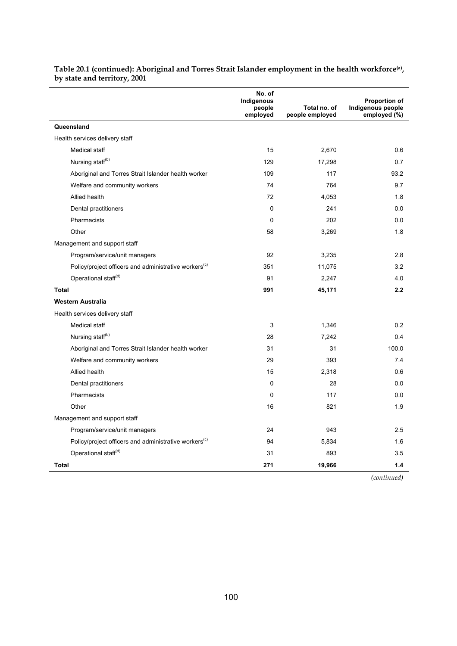|                                                                   | No. of<br>Indigenous<br>people<br>employed | Total no. of<br>people employed | <b>Proportion of</b><br>Indigenous people<br>employed (%) |
|-------------------------------------------------------------------|--------------------------------------------|---------------------------------|-----------------------------------------------------------|
| Queensland                                                        |                                            |                                 |                                                           |
| Health services delivery staff                                    |                                            |                                 |                                                           |
| Medical staff                                                     | 15                                         | 2,670                           | 0.6                                                       |
| Nursing staff <sup>(b)</sup>                                      | 129                                        | 17,298                          | 0.7                                                       |
| Aboriginal and Torres Strait Islander health worker               | 109                                        | 117                             | 93.2                                                      |
| Welfare and community workers                                     | 74                                         | 764                             | 9.7                                                       |
| Allied health                                                     | 72                                         | 4,053                           | 1.8                                                       |
| Dental practitioners                                              | 0                                          | 241                             | 0.0                                                       |
| Pharmacists                                                       | 0                                          | 202                             | 0.0                                                       |
| Other                                                             | 58                                         | 3,269                           | 1.8                                                       |
| Management and support staff                                      |                                            |                                 |                                                           |
| Program/service/unit managers                                     | 92                                         | 3,235                           | 2.8                                                       |
| Policy/project officers and administrative workers <sup>(c)</sup> | 351                                        | 11,075                          | 3.2                                                       |
| Operational staff <sup>(d)</sup>                                  | 91                                         | 2,247                           | 4.0                                                       |
| <b>Total</b>                                                      | 991                                        | 45,171                          | 2.2                                                       |
| <b>Western Australia</b>                                          |                                            |                                 |                                                           |
| Health services delivery staff                                    |                                            |                                 |                                                           |
| Medical staff                                                     | 3                                          | 1,346                           | 0.2                                                       |
| Nursing staff <sup>(b)</sup>                                      | 28                                         | 7,242                           | 0.4                                                       |
| Aboriginal and Torres Strait Islander health worker               | 31                                         | 31                              | 100.0                                                     |
| Welfare and community workers                                     | 29                                         | 393                             | 7.4                                                       |
| Allied health                                                     | 15                                         | 2,318                           | 0.6                                                       |
| Dental practitioners                                              | 0                                          | 28                              | 0.0                                                       |
| Pharmacists                                                       | $\mathbf 0$                                | 117                             | 0.0                                                       |
| Other                                                             | 16                                         | 821                             | 1.9                                                       |
| Management and support staff                                      |                                            |                                 |                                                           |
| Program/service/unit managers                                     | 24                                         | 943                             | 2.5                                                       |
| Policy/project officers and administrative workers <sup>(c)</sup> | 94                                         | 5,834                           | 1.6                                                       |
| Operational staff <sup>(d)</sup>                                  | 31                                         | 893                             | 3.5                                                       |
| Total                                                             | 271                                        | 19,966                          | 1.4                                                       |

#### Table 20.1 (continued): Aboriginal and Torres Strait Islander employment in the health workforce<sup>(a)</sup>, **by state and territory, 2001**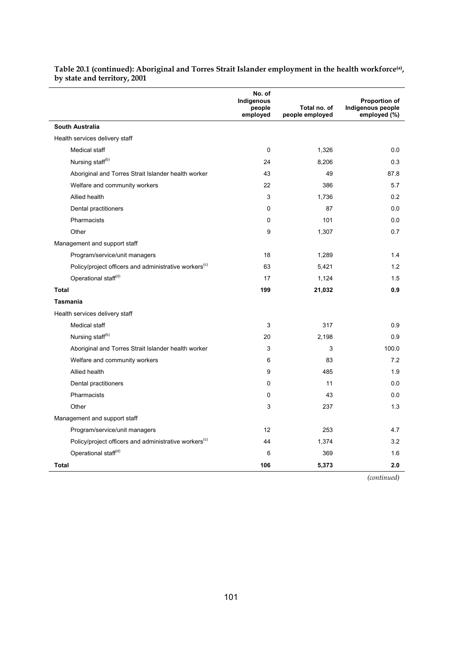|                                                                   | No. of<br>Indigenous<br>people<br>employed | Total no. of<br>people employed | <b>Proportion of</b><br>Indigenous people<br>employed (%) |
|-------------------------------------------------------------------|--------------------------------------------|---------------------------------|-----------------------------------------------------------|
| <b>South Australia</b>                                            |                                            |                                 |                                                           |
| Health services delivery staff                                    |                                            |                                 |                                                           |
| Medical staff                                                     | 0                                          | 1,326                           | 0.0                                                       |
| Nursing staff <sup>(b)</sup>                                      | 24                                         | 8,206                           | 0.3                                                       |
| Aboriginal and Torres Strait Islander health worker               | 43                                         | 49                              | 87.8                                                      |
| Welfare and community workers                                     | 22                                         | 386                             | 5.7                                                       |
| Allied health                                                     | 3                                          | 1,736                           | 0.2                                                       |
| Dental practitioners                                              | 0                                          | 87                              | 0.0                                                       |
| Pharmacists                                                       | 0                                          | 101                             | 0.0                                                       |
| Other                                                             | 9                                          | 1,307                           | 0.7                                                       |
| Management and support staff                                      |                                            |                                 |                                                           |
| Program/service/unit managers                                     | 18                                         | 1,289                           | 1.4                                                       |
| Policy/project officers and administrative workers <sup>(c)</sup> | 63                                         | 5,421                           | 1.2                                                       |
| Operational staff <sup>(d)</sup>                                  | 17                                         | 1,124                           | 1.5                                                       |
| <b>Total</b>                                                      | 199                                        | 21,032                          | 0.9                                                       |
| <b>Tasmania</b>                                                   |                                            |                                 |                                                           |
| Health services delivery staff                                    |                                            |                                 |                                                           |
| Medical staff                                                     | 3                                          | 317                             | 0.9                                                       |
| Nursing staff <sup>(b)</sup>                                      | 20                                         | 2,198                           | 0.9                                                       |
| Aboriginal and Torres Strait Islander health worker               | 3                                          | 3                               | 100.0                                                     |
| Welfare and community workers                                     | 6                                          | 83                              | 7.2                                                       |
| Allied health                                                     | 9                                          | 485                             | 1.9                                                       |
| Dental practitioners                                              | 0                                          | 11                              | 0.0                                                       |
| Pharmacists                                                       | 0                                          | 43                              | 0.0                                                       |
| Other                                                             | 3                                          | 237                             | 1.3                                                       |
| Management and support staff                                      |                                            |                                 |                                                           |
| Program/service/unit managers                                     | 12                                         | 253                             | 4.7                                                       |
| Policy/project officers and administrative workers <sup>(c)</sup> | 44                                         | 1,374                           | 3.2                                                       |
| Operational staff <sup>(d)</sup>                                  | 6                                          | 369                             | 1.6                                                       |
| Total                                                             | 106                                        | 5,373                           | 2.0                                                       |

Table 20.1 (continued): Aboriginal and Torres Strait Islander employment in the health workforce<sup>(a)</sup>, **by state and territory, 2001**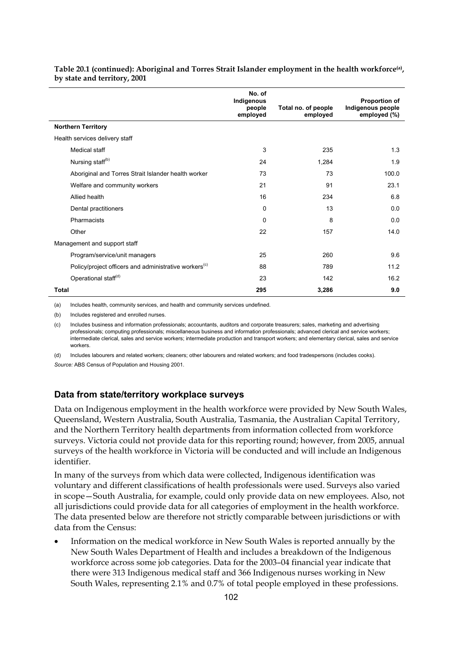|                                                                   | No. of<br>Indigenous<br>people<br>employed | Total no. of people<br>employed | <b>Proportion of</b><br>Indigenous people<br>employed (%) |
|-------------------------------------------------------------------|--------------------------------------------|---------------------------------|-----------------------------------------------------------|
| <b>Northern Territory</b>                                         |                                            |                                 |                                                           |
| Health services delivery staff                                    |                                            |                                 |                                                           |
| Medical staff                                                     | 3                                          | 235                             | 1.3                                                       |
| Nursing staff <sup>(b)</sup>                                      | 24                                         | 1,284                           | 1.9                                                       |
| Aboriginal and Torres Strait Islander health worker               | 73                                         | 73                              | 100.0                                                     |
| Welfare and community workers                                     | 21                                         | 91                              | 23.1                                                      |
| Allied health                                                     | 16                                         | 234                             | 6.8                                                       |
| Dental practitioners                                              | 0                                          | 13                              | 0.0                                                       |
| Pharmacists                                                       | 0                                          | 8                               | 0.0                                                       |
| Other                                                             | 22                                         | 157                             | 14.0                                                      |
| Management and support staff                                      |                                            |                                 |                                                           |
| Program/service/unit managers                                     | 25                                         | 260                             | 9.6                                                       |
| Policy/project officers and administrative workers <sup>(c)</sup> | 88                                         | 789                             | 11.2                                                      |
| Operational staff <sup>(d)</sup>                                  | 23                                         | 142                             | 16.2                                                      |
| <b>Total</b>                                                      | 295                                        | 3,286                           | 9.0                                                       |

#### **Table 20.1 (continued): Aboriginal and Torres Strait Islander employment in the health workforce(a), by state and territory, 2001**

(a) Includes health, community services, and health and community services undefined.

(b) Includes registered and enrolled nurses.

(c) Includes business and information professionals; accountants, auditors and corporate treasurers; sales, marketing and advertising professionals; computing professionals; miscellaneous business and information professionals; advanced clerical and service workers; intermediate clerical, sales and service workers; intermediate production and transport workers; and elementary clerical, sales and service workers.

(d) Includes labourers and related workers; cleaners; other labourers and related workers; and food tradespersons (includes cooks). *Source:* ABS Census of Population and Housing 2001.

#### **Data from state/territory workplace surveys**

Data on Indigenous employment in the health workforce were provided by New South Wales, Queensland, Western Australia, South Australia, Tasmania, the Australian Capital Territory, and the Northern Territory health departments from information collected from workforce surveys. Victoria could not provide data for this reporting round; however, from 2005, annual surveys of the health workforce in Victoria will be conducted and will include an Indigenous identifier.

In many of the surveys from which data were collected, Indigenous identification was voluntary and different classifications of health professionals were used. Surveys also varied in scope—South Australia, for example, could only provide data on new employees. Also, not all jurisdictions could provide data for all categories of employment in the health workforce. The data presented below are therefore not strictly comparable between jurisdictions or with data from the Census:

• Information on the medical workforce in New South Wales is reported annually by the New South Wales Department of Health and includes a breakdown of the Indigenous workforce across some job categories. Data for the 2003–04 financial year indicate that there were 313 Indigenous medical staff and 366 Indigenous nurses working in New South Wales, representing 2.1% and 0.7% of total people employed in these professions.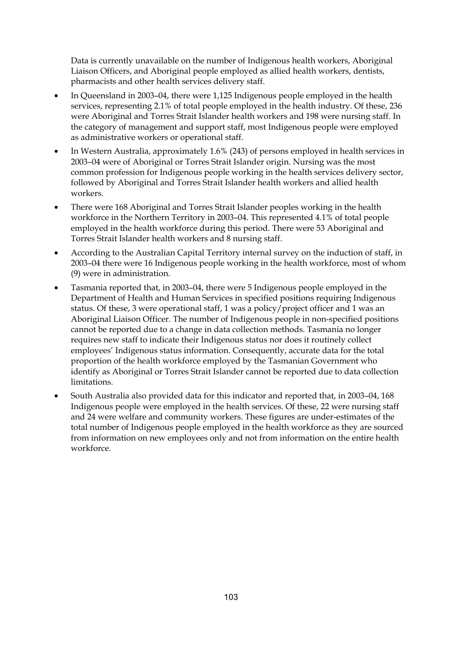Data is currently unavailable on the number of Indigenous health workers, Aboriginal Liaison Officers, and Aboriginal people employed as allied health workers, dentists, pharmacists and other health services delivery staff.

- In Queensland in 2003–04, there were 1,125 Indigenous people employed in the health services, representing 2.1% of total people employed in the health industry. Of these, 236 were Aboriginal and Torres Strait Islander health workers and 198 were nursing staff. In the category of management and support staff, most Indigenous people were employed as administrative workers or operational staff.
- In Western Australia, approximately 1.6% (243) of persons employed in health services in 2003–04 were of Aboriginal or Torres Strait Islander origin. Nursing was the most common profession for Indigenous people working in the health services delivery sector, followed by Aboriginal and Torres Strait Islander health workers and allied health workers.
- There were 168 Aboriginal and Torres Strait Islander peoples working in the health workforce in the Northern Territory in 2003–04. This represented 4.1% of total people employed in the health workforce during this period. There were 53 Aboriginal and Torres Strait Islander health workers and 8 nursing staff.
- According to the Australian Capital Territory internal survey on the induction of staff, in 2003–04 there were 16 Indigenous people working in the health workforce, most of whom (9) were in administration.
- Tasmania reported that, in 2003–04, there were 5 Indigenous people employed in the Department of Health and Human Services in specified positions requiring Indigenous status. Of these, 3 were operational staff, 1 was a policy/project officer and 1 was an Aboriginal Liaison Officer. The number of Indigenous people in non-specified positions cannot be reported due to a change in data collection methods. Tasmania no longer requires new staff to indicate their Indigenous status nor does it routinely collect employees' Indigenous status information. Consequently, accurate data for the total proportion of the health workforce employed by the Tasmanian Government who identify as Aboriginal or Torres Strait Islander cannot be reported due to data collection limitations.
- South Australia also provided data for this indicator and reported that, in 2003–04, 168 Indigenous people were employed in the health services. Of these, 22 were nursing staff and 24 were welfare and community workers. These figures are under-estimates of the total number of Indigenous people employed in the health workforce as they are sourced from information on new employees only and not from information on the entire health workforce.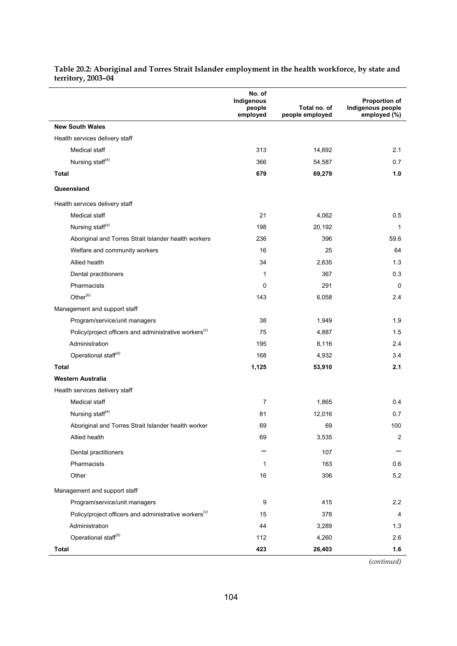|                                                                   | No. of<br>Indigenous<br>people<br>employed | Total no. of<br>people employed | Proportion of<br>Indigenous people<br>employed (%) |
|-------------------------------------------------------------------|--------------------------------------------|---------------------------------|----------------------------------------------------|
| <b>New South Wales</b>                                            |                                            |                                 |                                                    |
| Health services delivery staff                                    |                                            |                                 |                                                    |
| Medical staff                                                     | 313                                        | 14,692                          | 2.1                                                |
| Nursing staff <sup>(a)</sup>                                      | 366                                        | 54,587                          | 0.7                                                |
| <b>Total</b>                                                      | 679                                        | 69,279                          | 1.0                                                |
| Queensland                                                        |                                            |                                 |                                                    |
| Health services delivery staff                                    |                                            |                                 |                                                    |
| Medical staff                                                     | 21                                         | 4,062                           | 0.5                                                |
| Nursing staff <sup>(a)</sup>                                      | 198                                        | 20,192                          | 1                                                  |
| Aboriginal and Torres Strait Islander health workers              | 236                                        | 396                             | 59.6                                               |
| Welfare and community workers                                     | 16                                         | 25                              | 64                                                 |
| Allied health                                                     | 34                                         | 2,635                           | 1.3                                                |
| Dental practitioners                                              | 1                                          | 367                             | 0.3                                                |
| Pharmacists                                                       | 0                                          | 291                             | 0                                                  |
| Other <sup>(b)</sup>                                              | 143                                        | 6,058                           | 2.4                                                |
| Management and support staff                                      |                                            |                                 |                                                    |
| Program/service/unit managers                                     | 38                                         | 1,949                           | 1.9                                                |
| Policy/project officers and administrative workers <sup>(c)</sup> | 75                                         | 4,887                           | 1.5                                                |
| Administration                                                    | 195                                        | 8,116                           | 2.4                                                |
| Operational staff <sup>(d)</sup>                                  | 168                                        | 4,932                           | 3.4                                                |
| <b>Total</b>                                                      | 1,125                                      | 53,910                          | 2.1                                                |
| Western Australia                                                 |                                            |                                 |                                                    |
| Health services delivery staff                                    |                                            |                                 |                                                    |
| Medical staff                                                     | 7                                          | 1,865                           | 0.4                                                |
| Nursing staff <sup>(a)</sup>                                      | 81                                         | 12,016                          | 0.7                                                |
| Aboriginal and Torres Strait Islander health worker               | 69                                         | 69                              | 100                                                |
| Allied health                                                     | 69                                         | 3,535                           | $\overline{c}$                                     |
| Dental practitioners                                              |                                            | 107                             |                                                    |
| Pharmacists                                                       | 1                                          | 163                             | $0.6\,$                                            |
| Other                                                             | 16                                         | 306                             | 5.2                                                |
| Management and support staff                                      |                                            |                                 |                                                    |
| Program/service/unit managers                                     | $\boldsymbol{9}$                           | 415                             | 2.2                                                |
| Policy/project officers and administrative workers <sup>(c)</sup> | 15                                         | 378                             | 4                                                  |
| Administration                                                    | 44                                         | 3,289                           | 1.3                                                |
| Operational staff <sup>(d)</sup>                                  | 112                                        | 4,260                           | 2.6                                                |
| <b>Total</b>                                                      | 423                                        | 26,403                          | 1.6                                                |

#### **Table 20.2: Aboriginal and Torres Strait Islander employment in the health workforce, by state and territory, 2003–04**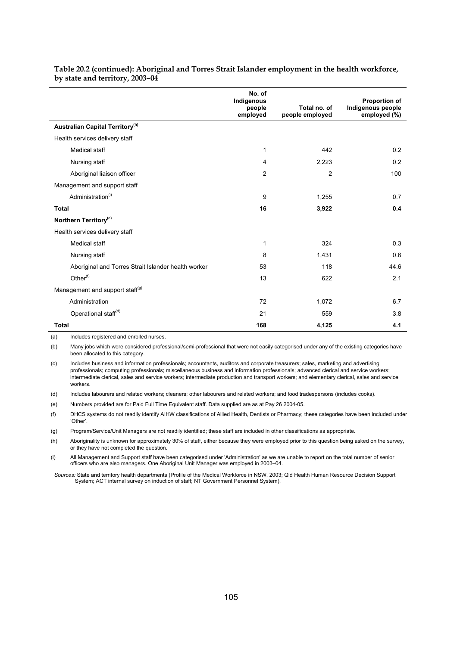|                                                     | No. of<br>Indigenous<br>people<br>employed | Total no. of<br>people employed | Proportion of<br>Indigenous people<br>employed (%) |
|-----------------------------------------------------|--------------------------------------------|---------------------------------|----------------------------------------------------|
| Australian Capital Territory <sup>(h)</sup>         |                                            |                                 |                                                    |
| Health services delivery staff                      |                                            |                                 |                                                    |
| Medical staff                                       | 1                                          | 442                             | 0.2                                                |
| Nursing staff                                       | 4                                          | 2,223                           | 0.2                                                |
| Aboriginal liaison officer                          | $\overline{2}$                             | $\overline{c}$                  | 100                                                |
| Management and support staff                        |                                            |                                 |                                                    |
| Administration <sup>(i)</sup>                       | 9                                          | 1,255                           | 0.7                                                |
| <b>Total</b>                                        | 16                                         | 3,922                           | 0.4                                                |
| Northern Territory <sup>(e)</sup>                   |                                            |                                 |                                                    |
| Health services delivery staff                      |                                            |                                 |                                                    |
| Medical staff                                       | 1                                          | 324                             | 0.3                                                |
| Nursing staff                                       | 8                                          | 1,431                           | 0.6                                                |
| Aboriginal and Torres Strait Islander health worker | 53                                         | 118                             | 44.6                                               |
| Other <sup>(f)</sup>                                | 13                                         | 622                             | 2.1                                                |
| Management and support staff <sup>(g)</sup>         |                                            |                                 |                                                    |
| Administration                                      | 72                                         | 1,072                           | 6.7                                                |
| Operational staff <sup>(d)</sup>                    | 21                                         | 559                             | 3.8                                                |
| <b>Total</b>                                        | 168                                        | 4,125                           | 4.1                                                |

#### **Table 20.2 (continued): Aboriginal and Torres Strait Islander employment in the health workforce, by state and territory, 2003–04**

(a) Includes registered and enrolled nurses.

(b) Many jobs which were considered professional/semi-professional that were not easily categorised under any of the existing categories have been allocated to this category.

(c) Includes business and information professionals; accountants, auditors and corporate treasurers; sales, marketing and advertising professionals; computing professionals; miscellaneous business and information professionals; advanced clerical and service workers; intermediate clerical, sales and service workers; intermediate production and transport workers; and elementary clerical, sales and service workers.

(d) Includes labourers and related workers; cleaners; other labourers and related workers; and food tradespersons (includes cooks).

(e) Numbers provided are for Paid Full Time Equivalent staff. Data supplied are as at Pay 26 2004-05.

(f) DHCS systems do not readily identify AIHW classifications of Allied Health, Dentists or Pharmacy; these categories have been included under 'Other'.

(g) Program/Service/Unit Managers are not readily identified; these staff are included in other classifications as appropriate.

(h) Aboriginality is unknown for approximately 30% of staff, either because they were employed prior to this question being asked on the survey, or they have not completed the question.

(i) All Management and Support staff have been categorised under 'Administration' as we are unable to report on the total number of senior officers who are also managers. One Aboriginal Unit Manager was employed in 2003–04.

*Sources:* State and territory health departments (Profile of the Medical Workforce in NSW, 2003; Qld Health Human Resource Decision Support System; ACT internal survey on induction of staff; NT Government Personnel System).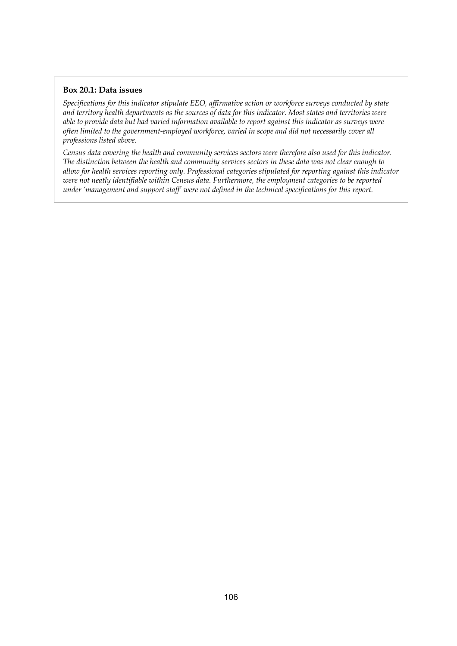#### **Box 20.1: Data issues**

*Specifications for this indicator stipulate EEO, affirmative action or workforce surveys conducted by state and territory health departments as the sources of data for this indicator. Most states and territories were able to provide data but had varied information available to report against this indicator as surveys were often limited to the government-employed workforce, varied in scope and did not necessarily cover all professions listed above.* 

*Census data covering the health and community services sectors were therefore also used for this indicator. The distinction between the health and community services sectors in these data was not clear enough to allow for health services reporting only. Professional categories stipulated for reporting against this indicator were not neatly identifiable within Census data. Furthermore, the employment categories to be reported under 'management and support staff' were not defined in the technical specifications for this report.*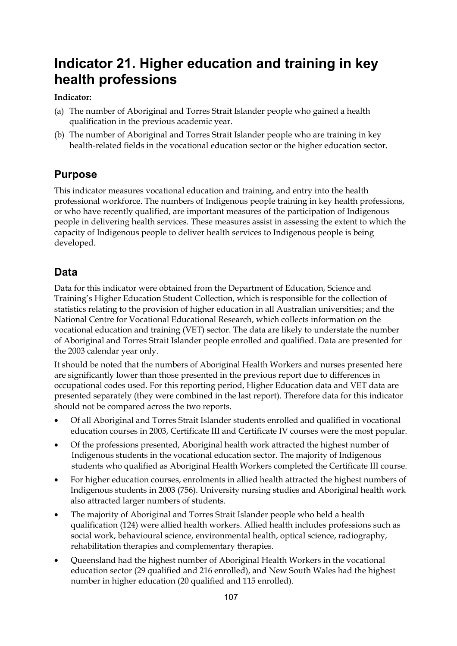# **Indicator 21. Higher education and training in key health professions**

### **Indicator:**

- (a) The number of Aboriginal and Torres Strait Islander people who gained a health qualification in the previous academic year.
- (b) The number of Aboriginal and Torres Strait Islander people who are training in key health-related fields in the vocational education sector or the higher education sector.

# **Purpose**

This indicator measures vocational education and training, and entry into the health professional workforce. The numbers of Indigenous people training in key health professions, or who have recently qualified, are important measures of the participation of Indigenous people in delivering health services. These measures assist in assessing the extent to which the capacity of Indigenous people to deliver health services to Indigenous people is being developed.

# **Data**

Data for this indicator were obtained from the Department of Education, Science and Training's Higher Education Student Collection, which is responsible for the collection of statistics relating to the provision of higher education in all Australian universities; and the National Centre for Vocational Educational Research, which collects information on the vocational education and training (VET) sector. The data are likely to understate the number of Aboriginal and Torres Strait Islander people enrolled and qualified. Data are presented for the 2003 calendar year only.

It should be noted that the numbers of Aboriginal Health Workers and nurses presented here are significantly lower than those presented in the previous report due to differences in occupational codes used. For this reporting period, Higher Education data and VET data are presented separately (they were combined in the last report). Therefore data for this indicator should not be compared across the two reports.

- Of all Aboriginal and Torres Strait Islander students enrolled and qualified in vocational education courses in 2003, Certificate III and Certificate IV courses were the most popular.
- Of the professions presented, Aboriginal health work attracted the highest number of Indigenous students in the vocational education sector. The majority of Indigenous students who qualified as Aboriginal Health Workers completed the Certificate III course.
- For higher education courses, enrolments in allied health attracted the highest numbers of Indigenous students in 2003 (756). University nursing studies and Aboriginal health work also attracted larger numbers of students.
- The majority of Aboriginal and Torres Strait Islander people who held a health qualification (124) were allied health workers. Allied health includes professions such as social work, behavioural science, environmental health, optical science, radiography, rehabilitation therapies and complementary therapies.
- Queensland had the highest number of Aboriginal Health Workers in the vocational education sector (29 qualified and 216 enrolled), and New South Wales had the highest number in higher education (20 qualified and 115 enrolled).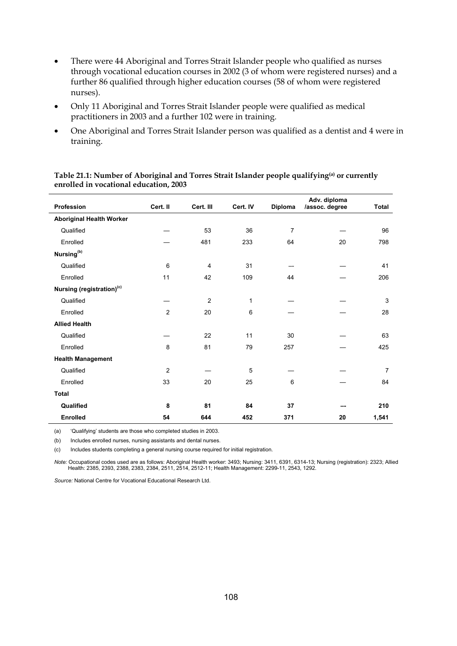- There were 44 Aboriginal and Torres Strait Islander people who qualified as nurses through vocational education courses in 2002 (3 of whom were registered nurses) and a further 86 qualified through higher education courses (58 of whom were registered nurses).
- Only 11 Aboriginal and Torres Strait Islander people were qualified as medical practitioners in 2003 and a further 102 were in training.
- One Aboriginal and Torres Strait Islander person was qualified as a dentist and 4 were in training.

| <b>Profession</b>                     | Cert. II       | Cert. III      | Cert. IV | Diploma | Adv. diploma<br>/assoc. degree | <b>Total</b>   |
|---------------------------------------|----------------|----------------|----------|---------|--------------------------------|----------------|
| <b>Aboriginal Health Worker</b>       |                |                |          |         |                                |                |
| Qualified                             |                | 53             | 36       | 7       |                                | 96             |
| Enrolled                              |                | 481            | 233      | 64      | 20                             | 798            |
| Nursing <sup>(b)</sup>                |                |                |          |         |                                |                |
| Qualified                             | 6              | $\overline{4}$ | 31       |         |                                | 41             |
| Enrolled                              | 11             | 42             | 109      | 44      |                                | 206            |
| Nursing (registration) <sup>(c)</sup> |                |                |          |         |                                |                |
| Qualified                             |                | $\overline{2}$ | 1        |         |                                | 3              |
| Enrolled                              | 2              | 20             | 6        |         |                                | 28             |
| <b>Allied Health</b>                  |                |                |          |         |                                |                |
| Qualified                             |                | 22             | 11       | 30      |                                | 63             |
| Enrolled                              | 8              | 81             | 79       | 257     |                                | 425            |
| <b>Health Management</b>              |                |                |          |         |                                |                |
| Qualified                             | $\overline{2}$ |                | 5        |         |                                | $\overline{7}$ |
| Enrolled                              | 33             | 20             | 25       | 6       |                                | 84             |
| <b>Total</b>                          |                |                |          |         |                                |                |
| Qualified                             | 8              | 81             | 84       | 37      |                                | 210            |
| <b>Enrolled</b>                       | 54             | 644            | 452      | 371     | 20                             | 1,541          |

#### **Table 21.1: Number of Aboriginal and Torres Strait Islander people qualifying(a) or currently enrolled in vocational education, 2003**

(a) 'Qualifying' students are those who completed studies in 2003.

(b) Includes enrolled nurses, nursing assistants and dental nurses.

(c) Includes students completing a general nursing course required for initial registration.

*Note:* Occupational codes used are as follows: Aboriginal Health worker: 3493; Nursing: 3411, 6391, 6314-13; Nursing (registration): 2323; Allied Health: 2385, 2393, 2388, 2383, 2384, 2511, 2514, 2512-11; Health Management: 2299-11, 2543, 1292.

*Source:* National Centre for Vocational Educational Research Ltd.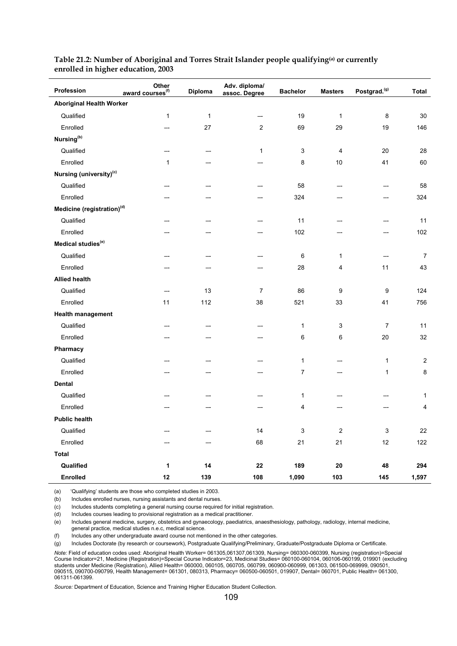| Profession                             | Other<br>award courses <sup>(f)</sup> | Diploma      | Adv. diploma/<br>assoc. Degree | <b>Bachelor</b> | <b>Masters</b>   | Postgrad. <sup>(g)</sup>  | <b>Total</b>            |  |  |  |  |
|----------------------------------------|---------------------------------------|--------------|--------------------------------|-----------------|------------------|---------------------------|-------------------------|--|--|--|--|
| <b>Aboriginal Health Worker</b>        |                                       |              |                                |                 |                  |                           |                         |  |  |  |  |
| Qualified                              | $\mathbf{1}$                          | $\mathbf{1}$ |                                | 19              | $\mathbf{1}$     | 8                         | 30                      |  |  |  |  |
| Enrolled                               |                                       | 27           | $\overline{2}$                 | 69              | 29               | 19                        | 146                     |  |  |  |  |
| Nursing <sup>(b)</sup>                 |                                       |              |                                |                 |                  |                           |                         |  |  |  |  |
| Qualified                              |                                       |              | $\mathbf{1}$                   | 3               | 4                | 20                        | 28                      |  |  |  |  |
| Enrolled                               | 1                                     |              |                                | 8               | $10$             | 41                        | 60                      |  |  |  |  |
| Nursing (university) <sup>(c)</sup>    |                                       |              |                                |                 |                  |                           |                         |  |  |  |  |
| Qualified                              |                                       |              |                                | 58              |                  |                           | 58                      |  |  |  |  |
| Enrolled                               |                                       |              |                                | 324             |                  |                           | 324                     |  |  |  |  |
| Medicine (registration) <sup>(d)</sup> |                                       |              |                                |                 |                  |                           |                         |  |  |  |  |
| Qualified                              |                                       |              |                                | 11              |                  |                           | 11                      |  |  |  |  |
| Enrolled                               |                                       |              |                                | 102             |                  |                           | 102                     |  |  |  |  |
| Medical studies <sup>(e)</sup>         |                                       |              |                                |                 |                  |                           |                         |  |  |  |  |
| Qualified                              |                                       |              |                                | 6               | $\mathbf{1}$     |                           | $\boldsymbol{7}$        |  |  |  |  |
| Enrolled                               |                                       |              |                                | 28              | 4                | 11                        | 43                      |  |  |  |  |
| <b>Allied health</b>                   |                                       |              |                                |                 |                  |                           |                         |  |  |  |  |
| Qualified                              |                                       | 13           | $\overline{7}$                 | 86              | 9                | 9                         | 124                     |  |  |  |  |
| Enrolled                               | 11                                    | 112          | 38                             | 521             | 33               | 41                        | 756                     |  |  |  |  |
| <b>Health management</b>               |                                       |              |                                |                 |                  |                           |                         |  |  |  |  |
| Qualified                              |                                       |              |                                | 1               | 3                | $\overline{7}$            | 11                      |  |  |  |  |
| Enrolled                               |                                       |              |                                | 6               | 6                | 20                        | 32                      |  |  |  |  |
| Pharmacy                               |                                       |              |                                |                 |                  |                           |                         |  |  |  |  |
| Qualified                              |                                       |              |                                | $\mathbf{1}$    |                  | 1                         | $\overline{c}$          |  |  |  |  |
| Enrolled                               |                                       |              |                                | 7               |                  | 1                         | $\bf 8$                 |  |  |  |  |
| <b>Dental</b>                          |                                       |              |                                |                 |                  |                           |                         |  |  |  |  |
| Qualified                              |                                       |              |                                | 1               |                  |                           | $\mathbf{1}$            |  |  |  |  |
| Enrolled                               |                                       |              |                                | 4               |                  |                           | $\overline{\mathbf{4}}$ |  |  |  |  |
| <b>Public health</b>                   |                                       |              |                                |                 |                  |                           |                         |  |  |  |  |
| Qualified                              |                                       |              | 14                             | 3               | $\boldsymbol{2}$ | $\ensuremath{\mathsf{3}}$ | 22                      |  |  |  |  |
| Enrolled                               |                                       |              | 68                             | 21              | 21               | 12                        | $122$                   |  |  |  |  |
| <b>Total</b>                           |                                       |              |                                |                 |                  |                           |                         |  |  |  |  |
| Qualified                              | 1                                     | 14           | ${\bf 22}$                     | 189             | ${\bf 20}$       | 48                        | 294                     |  |  |  |  |
| Enrolled                               | $12$                                  | 139          | 108                            | 1,090           | 103              | 145                       | 1,597                   |  |  |  |  |

#### **Table 21.2: Number of Aboriginal and Torres Strait Islander people qualifying(a) or currently enrolled in higher education, 2003**

(a) 'Qualifying' students are those who completed studies in 2003.

(b) Includes enrolled nurses, nursing assistants and dental nurses.

(c) Includes students completing a general nursing course required for initial registration.

(d) Includes courses leading to provisional registration as a medical practitioner.

(e) Includes general medicine, surgery, obstetrics and gynaecology, paediatrics, anaesthesiology, pathology, radiology, internal medicine, general practice, medical studies n.e.c, medical science.

(f) Includes any other undergraduate award course not mentioned in the other categories.

(g) Includes Doctorate (by research or coursework), Postgraduate Qualifying/Preliminary, Graduate/Postgraduate Diploma or Certificate.

*Note:* Field of education codes used: Aboriginal Health Worker= 061305,061307,061309, Nursing= 060300-060399, Nursing (registration)=Special Course Indicator=21, Medicine (Registration)=Special Course Indicator=23, Medicinal Studies= 060100-060104, 060106-060199, 019901 (excluding students under Medicine (Registration), Allied Health= 060000, 060105, 060705, 060799, 060900-060999, 061303, 061500-069999, 090501, 090515, 090700-090799, Health Management= 061301, 080313, Pharmacy= 060500-060501, 019907, Dental= 060701, Public Health= 061300, 061311-061399.

*Source:* Department of Education, Science and Training Higher Education Student Collection.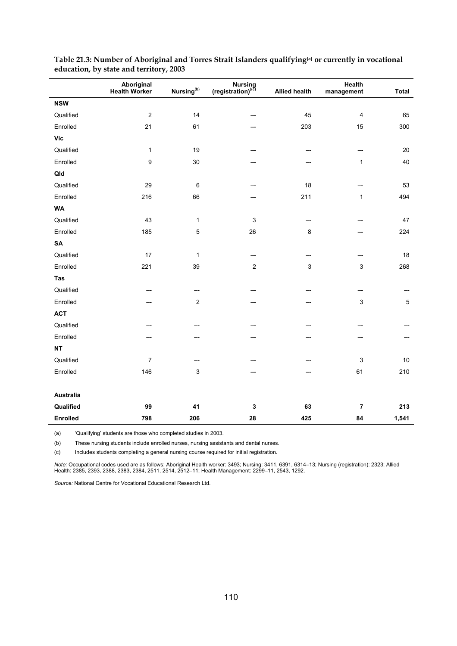|                  | Aboriginal<br><b>Health Worker</b> | Nursing <sup>(b)</sup> | Nursing<br>(registration) <sup>(c)</sup> | <b>Allied health</b> | Health<br>management    | <b>Total</b> |
|------------------|------------------------------------|------------------------|------------------------------------------|----------------------|-------------------------|--------------|
| <b>NSW</b>       |                                    |                        |                                          |                      |                         |              |
| Qualified        | $\boldsymbol{2}$                   | 14                     |                                          | 45                   | $\overline{\mathbf{4}}$ | 65           |
| Enrolled         | 21                                 | 61                     |                                          | 203                  | 15                      | 300          |
| <b>Vic</b>       |                                    |                        |                                          |                      |                         |              |
| Qualified        | 1                                  | 19                     |                                          |                      |                         | $20\,$       |
| Enrolled         | 9                                  | $30\,$                 |                                          |                      | 1                       | 40           |
| Qld              |                                    |                        |                                          |                      |                         |              |
| Qualified        | 29                                 | $\,6\,$                |                                          | 18                   |                         | 53           |
| Enrolled         | 216                                | 66                     |                                          | 211                  | $\mathbf 1$             | 494          |
| <b>WA</b>        |                                    |                        |                                          |                      |                         |              |
| Qualified        | 43                                 | $\mathbf{1}$           | $\ensuremath{\mathsf{3}}$                |                      |                         | 47           |
| Enrolled         | 185                                | $\mathbf 5$            | 26                                       | 8                    |                         | 224          |
| ${\sf SA}$       |                                    |                        |                                          |                      |                         |              |
| Qualified        | 17                                 | $\mathbf{1}$           |                                          |                      |                         | 18           |
| Enrolled         | 221                                | 39                     | $\overline{c}$                           | $\sqrt{3}$           | 3                       | 268          |
| Tas              |                                    |                        |                                          |                      |                         |              |
| Qualified        |                                    |                        |                                          |                      |                         |              |
| Enrolled         |                                    | $\boldsymbol{2}$       |                                          |                      | 3                       | $\sqrt{5}$   |
| <b>ACT</b>       |                                    |                        |                                          |                      |                         |              |
| Qualified        |                                    |                        |                                          |                      |                         |              |
| Enrolled         |                                    |                        |                                          |                      |                         |              |
| NT               |                                    |                        |                                          |                      |                         |              |
| Qualified        | 7                                  |                        |                                          |                      | 3                       | $10\,$       |
| Enrolled         | 146                                | $\mathbf{3}$           |                                          |                      | 61                      | 210          |
| <b>Australia</b> |                                    |                        |                                          |                      |                         |              |
| Qualified        | 99                                 | 41                     | 3                                        | 63                   | $\bf 7$                 | 213          |
| <b>Enrolled</b>  | 798                                | 206                    | 28                                       | 425                  | 84                      | 1,541        |

| Table 21.3: Number of Aboriginal and Torres Strait Islanders qualifying <sup>(a)</sup> or currently in vocational |  |
|-------------------------------------------------------------------------------------------------------------------|--|
| education, by state and territory, 2003                                                                           |  |

(a) 'Qualifying' students are those who completed studies in 2003.

(b) These nursing students include enrolled nurses, nursing assistants and dental nurses.

(c) Includes students completing a general nursing course required for initial registration.

*Note:* Occupational codes used are as follows: Aboriginal Health worker: 3493; Nursing: 3411, 6391, 6314–13; Nursing (registration): 2323; Allied Health: 2385, 2393, 2388, 2383, 2384, 2511, 2514, 2512–11; Health Management: 2299–11, 2543, 1292.

*Source:* National Centre for Vocational Educational Research Ltd.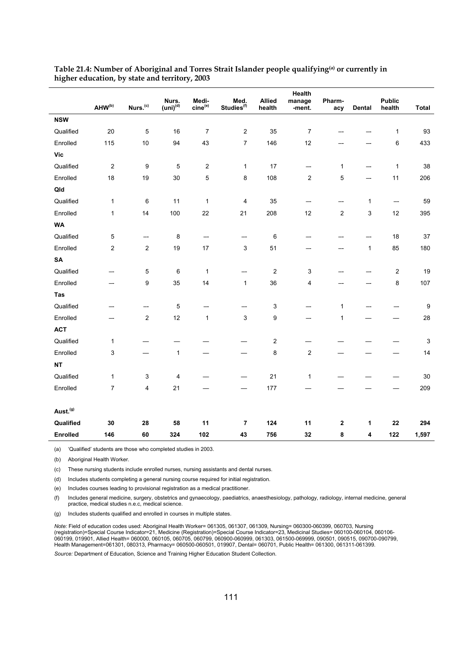|                      |                         |                         | Nurs.              | Medi-                   | Med.                   | <b>Allied</b>    | <b>Health</b><br>manage | Pharm-         |              | <b>Public</b> |                  |
|----------------------|-------------------------|-------------------------|--------------------|-------------------------|------------------------|------------------|-------------------------|----------------|--------------|---------------|------------------|
|                      | AHW(b)                  | Nurs. <sup>(c)</sup>    | $(i\text{})^{(d)}$ | $cine^{(e)}$            | Studies <sup>(f)</sup> | health           | -ment.                  | acy            | Dental       | health        | <b>Total</b>     |
| <b>NSW</b>           |                         |                         |                    |                         |                        |                  |                         |                |              |               |                  |
| Qualified            | $20\,$                  | 5                       | 16                 | $\overline{7}$          | $\overline{c}$         | 35               | $\overline{7}$          |                |              | $\mathbf{1}$  | 93               |
| Enrolled             | 115                     | $10$                    | 94                 | 43                      | $\overline{7}$         | 146              | 12                      |                |              | 6             | 433              |
| <b>Vic</b>           |                         |                         |                    |                         |                        |                  |                         |                |              |               |                  |
| Qualified            | $\overline{\mathbf{c}}$ | 9                       | 5                  | $\overline{\mathbf{c}}$ | $\mathbf{1}$           | 17               | —-                      | $\mathbf{1}$   | ——           | $\mathbf{1}$  | 38               |
| Enrolled             | 18                      | 19                      | 30                 | 5                       | 8                      | 108              | $\overline{c}$          | 5              |              | 11            | 206              |
| Qld                  |                         |                         |                    |                         |                        |                  |                         |                |              |               |                  |
| Qualified            | $\mathbf{1}$            | 6                       | 11                 | $\mathbf 1$             | 4                      | 35               | —-                      |                | $\mathbf{1}$ | ——            | 59               |
| Enrolled             | $\mathbf{1}$            | 14                      | 100                | 22                      | 21                     | 208              | 12                      | $\overline{c}$ | 3            | 12            | 395              |
| <b>WA</b>            |                         |                         |                    |                         |                        |                  |                         |                |              |               |                  |
| Qualified            | 5                       |                         | 8                  | —-                      |                        | 6                |                         |                |              | 18            | $37\,$           |
| Enrolled             | $\boldsymbol{2}$        | $\overline{\mathbf{c}}$ | $19$               | 17                      | 3                      | 51               | —-                      |                | $\mathbf{1}$ | 85            | 180              |
| <b>SA</b>            |                         |                         |                    |                         |                        |                  |                         |                |              |               |                  |
| Qualified            | --                      | 5                       | $\,6\,$            | $\mathbf 1$             | —                      | $\boldsymbol{2}$ | $\mathsf 3$             |                |              | 2             | 19               |
| Enrolled             |                         | 9                       | 35                 | 14                      | $\mathbf{1}$           | 36               | 4                       |                |              | 8             | 107              |
| Tas                  |                         |                         |                    |                         |                        |                  |                         |                |              |               |                  |
| Qualified            |                         |                         | 5                  |                         | —                      | 3                |                         | $\mathbf{1}$   |              |               | $\boldsymbol{9}$ |
| Enrolled             |                         | $\overline{c}$          | 12                 | $\mathbf{1}$            | 3                      | 9                |                         | 1              |              |               | 28               |
| <b>ACT</b>           |                         |                         |                    |                         |                        |                  |                         |                |              |               |                  |
| Qualified            | $\mathbf{1}$            |                         |                    |                         |                        | $\boldsymbol{2}$ |                         |                |              |               | 3                |
| Enrolled             | 3                       |                         | $\mathbf{1}$       |                         | —                      | 8                | $\sqrt{2}$              |                |              |               | 14               |
| <b>NT</b>            |                         |                         |                    |                         |                        |                  |                         |                |              |               |                  |
| Qualified            | $\mathbf{1}$            | 3                       | 4                  |                         |                        | 21               | $\mathbf{1}$            |                |              |               | 30               |
| Enrolled             | $\boldsymbol{7}$        | 4                       | 21                 |                         |                        | 177              |                         |                |              |               | 209              |
|                      |                         |                         |                    |                         |                        |                  |                         |                |              |               |                  |
| Aust. <sup>(g)</sup> |                         |                         |                    |                         |                        |                  |                         |                |              |               |                  |
| Qualified            | 30                      | 28                      | 58                 | 11                      | $\overline{7}$         | 124              | 11                      | $\mathbf{2}$   | 1            | 22            | 294              |
| <b>Enrolled</b>      | 146                     | 60                      | 324                | 102                     | 43                     | 756              | 32                      | 8              | 4            | 122           | 1,597            |

#### **Table 21.4: Number of Aboriginal and Torres Strait Islander people qualifying(a) or currently in higher education, by state and territory, 2003**

(a) 'Qualified' students are those who completed studies in 2003.

(b) Aboriginal Health Worker.

(c) These nursing students include enrolled nurses, nursing assistants and dental nurses.

(d) Includes students completing a general nursing course required for initial registration.

(e) Includes courses leading to provisional registration as a medical practitioner.

(f) Includes general medicine, surgery, obstetrics and gynaecology, paediatrics, anaesthesiology, pathology, radiology, internal medicine, general practice, medical studies n.e.c, medical science.

(g) Includes students qualified and enrolled in courses in multiple states.

*Note:* Field of education codes used: Aboriginal Health Worker= 061305, 061307, 061309, Nursing= 060300-060399, 060703, Nursing (registration)=Special Course Indicator=21, Medicine (Registration)=Special Course Indicator=23, Medicinal Studies= 060100-060104, 060106- 060199, 019901, Allied Health= 060000, 060105, 060705, 060799, 060900-060999, 061303, 061500-069999, 090501, 090515, 090700-090799, Health Management=061301, 080313, Pharmacy= 060500-060501, 019907, Dental= 060701, Public Health= 061300, 061311-061399.

*Source:* Department of Education, Science and Training Higher Education Student Collection.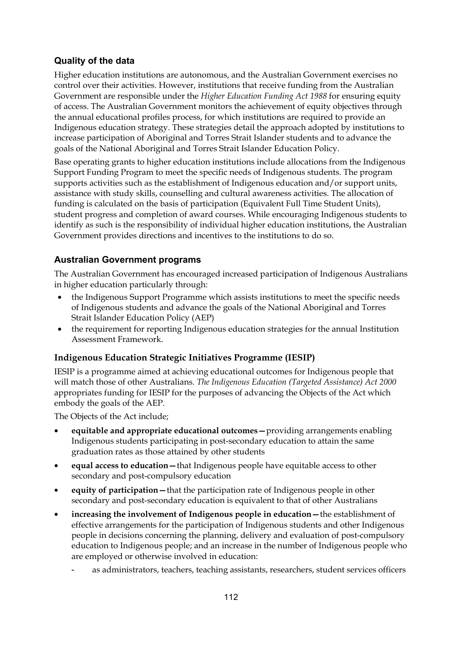# **Quality of the data**

Higher education institutions are autonomous, and the Australian Government exercises no control over their activities. However, institutions that receive funding from the Australian Government are responsible under the *Higher Education Funding Act 1988* for ensuring equity of access. The Australian Government monitors the achievement of equity objectives through the annual educational profiles process, for which institutions are required to provide an Indigenous education strategy. These strategies detail the approach adopted by institutions to increase participation of Aboriginal and Torres Strait Islander students and to advance the goals of the National Aboriginal and Torres Strait Islander Education Policy.

Base operating grants to higher education institutions include allocations from the Indigenous Support Funding Program to meet the specific needs of Indigenous students. The program supports activities such as the establishment of Indigenous education and/or support units, assistance with study skills, counselling and cultural awareness activities. The allocation of funding is calculated on the basis of participation (Equivalent Full Time Student Units), student progress and completion of award courses. While encouraging Indigenous students to identify as such is the responsibility of individual higher education institutions, the Australian Government provides directions and incentives to the institutions to do so.

# **Australian Government programs**

The Australian Government has encouraged increased participation of Indigenous Australians in higher education particularly through:

- the Indigenous Support Programme which assists institutions to meet the specific needs of Indigenous students and advance the goals of the National Aboriginal and Torres Strait Islander Education Policy (AEP)
- the requirement for reporting Indigenous education strategies for the annual Institution Assessment Framework.

# **Indigenous Education Strategic Initiatives Programme (IESIP)**

IESIP is a programme aimed at achieving educational outcomes for Indigenous people that will match those of other Australians. *The Indigenous Education (Targeted Assistance) Act 2000* appropriates funding for IESIP for the purposes of advancing the Objects of the Act which embody the goals of the AEP.

The Objects of the Act include;

- **equitable and appropriate educational outcomes—**providing arrangements enabling Indigenous students participating in post-secondary education to attain the same graduation rates as those attained by other students
- **equal access to education—**that Indigenous people have equitable access to other secondary and post-compulsory education
- **equity of participation—**that the participation rate of Indigenous people in other secondary and post-secondary education is equivalent to that of other Australians
- **increasing the involvement of Indigenous people in education—**the establishment of effective arrangements for the participation of Indigenous students and other Indigenous people in decisions concerning the planning, delivery and evaluation of post-compulsory education to Indigenous people; and an increase in the number of Indigenous people who are employed or otherwise involved in education:
	- as administrators, teachers, teaching assistants, researchers, student services officers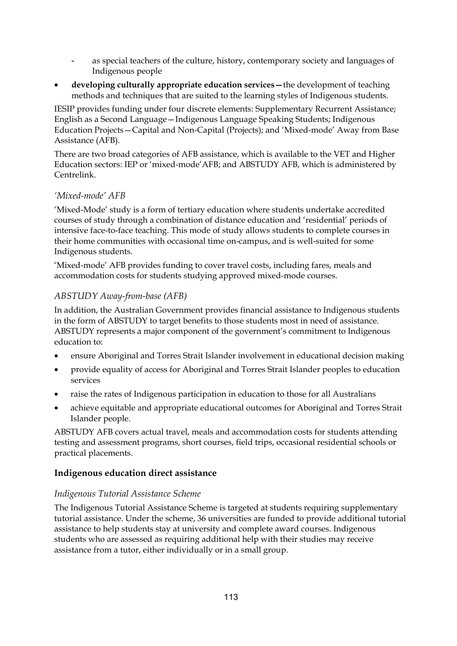- as special teachers of the culture, history, contemporary society and languages of Indigenous people
- **developing culturally appropriate education services—**the development of teaching methods and techniques that are suited to the learning styles of Indigenous students.

IESIP provides funding under four discrete elements: Supplementary Recurrent Assistance; English as a Second Language—Indigenous Language Speaking Students; Indigenous Education Projects—Capital and Non-Capital (Projects); and 'Mixed-mode' Away from Base Assistance (AFB).

There are two broad categories of AFB assistance, which is available to the VET and Higher Education sectors: IEP or 'mixed-mode'AFB; and ABSTUDY AFB, which is administered by Centrelink.

### *'Mixed-mode' AFB*

'Mixed-Mode' study is a form of tertiary education where students undertake accredited courses of study through a combination of distance education and 'residential' periods of intensive face-to-face teaching. This mode of study allows students to complete courses in their home communities with occasional time on-campus, and is well-suited for some Indigenous students.

'Mixed-mode' AFB provides funding to cover travel costs, including fares, meals and accommodation costs for students studying approved mixed-mode courses.

### *ABSTUDY Away-from-base (AFB)*

In addition, the Australian Government provides financial assistance to Indigenous students in the form of ABSTUDY to target benefits to those students most in need of assistance. ABSTUDY represents a major component of the government's commitment to Indigenous education to:

- ensure Aboriginal and Torres Strait Islander involvement in educational decision making
- provide equality of access for Aboriginal and Torres Strait Islander peoples to education services
- raise the rates of Indigenous participation in education to those for all Australians
- achieve equitable and appropriate educational outcomes for Aboriginal and Torres Strait Islander people.

ABSTUDY AFB covers actual travel, meals and accommodation costs for students attending testing and assessment programs, short courses, field trips, occasional residential schools or practical placements.

#### **Indigenous education direct assistance**

#### *Indigenous Tutorial Assistance Scheme*

The Indigenous Tutorial Assistance Scheme is targeted at students requiring supplementary tutorial assistance. Under the scheme, 36 universities are funded to provide additional tutorial assistance to help students stay at university and complete award courses. Indigenous students who are assessed as requiring additional help with their studies may receive assistance from a tutor, either individually or in a small group.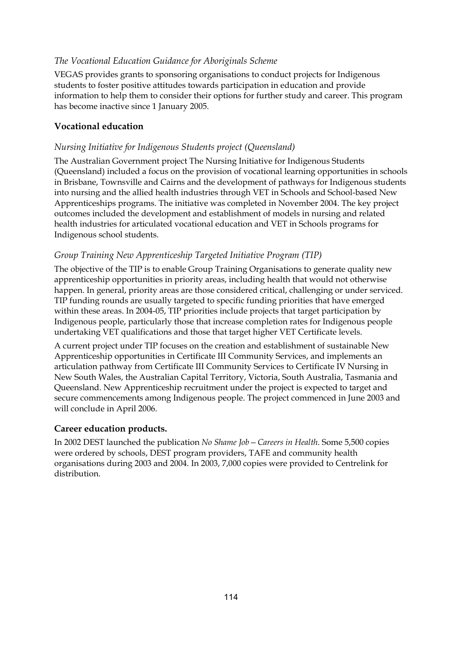## *The Vocational Education Guidance for Aboriginals Scheme*

VEGAS provides grants to sponsoring organisations to conduct projects for Indigenous students to foster positive attitudes towards participation in education and provide information to help them to consider their options for further study and career. This program has become inactive since 1 January 2005.

## **Vocational education**

### *Nursing Initiative for Indigenous Students project (Queensland)*

The Australian Government project The Nursing Initiative for Indigenous Students (Queensland) included a focus on the provision of vocational learning opportunities in schools in Brisbane, Townsville and Cairns and the development of pathways for Indigenous students into nursing and the allied health industries through VET in Schools and School-based New Apprenticeships programs. The initiative was completed in November 2004. The key project outcomes included the development and establishment of models in nursing and related health industries for articulated vocational education and VET in Schools programs for Indigenous school students.

### *Group Training New Apprenticeship Targeted Initiative Program (TIP)*

The objective of the TIP is to enable Group Training Organisations to generate quality new apprenticeship opportunities in priority areas, including health that would not otherwise happen. In general, priority areas are those considered critical, challenging or under serviced. TIP funding rounds are usually targeted to specific funding priorities that have emerged within these areas. In 2004-05, TIP priorities include projects that target participation by Indigenous people, particularly those that increase completion rates for Indigenous people undertaking VET qualifications and those that target higher VET Certificate levels.

A current project under TIP focuses on the creation and establishment of sustainable New Apprenticeship opportunities in Certificate III Community Services, and implements an articulation pathway from Certificate III Community Services to Certificate IV Nursing in New South Wales, the Australian Capital Territory, Victoria, South Australia, Tasmania and Queensland. New Apprenticeship recruitment under the project is expected to target and secure commencements among Indigenous people. The project commenced in June 2003 and will conclude in April 2006.

### **Career education products.**

In 2002 DEST launched the publication *No Shame Job—Careers in Health*. Some 5,500 copies were ordered by schools, DEST program providers, TAFE and community health organisations during 2003 and 2004. In 2003, 7,000 copies were provided to Centrelink for distribution.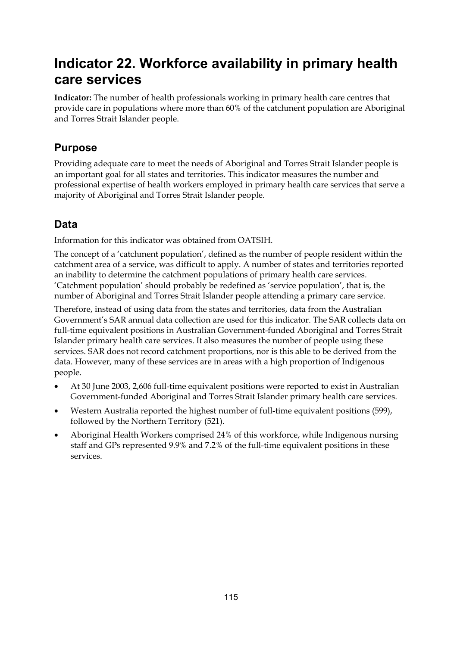# **Indicator 22. Workforce availability in primary health care services**

**Indicator:** The number of health professionals working in primary health care centres that provide care in populations where more than 60% of the catchment population are Aboriginal and Torres Strait Islander people.

# **Purpose**

Providing adequate care to meet the needs of Aboriginal and Torres Strait Islander people is an important goal for all states and territories. This indicator measures the number and professional expertise of health workers employed in primary health care services that serve a majority of Aboriginal and Torres Strait Islander people.

# **Data**

Information for this indicator was obtained from OATSIH.

The concept of a 'catchment population', defined as the number of people resident within the catchment area of a service, was difficult to apply. A number of states and territories reported an inability to determine the catchment populations of primary health care services. 'Catchment population' should probably be redefined as 'service population', that is, the number of Aboriginal and Torres Strait Islander people attending a primary care service.

Therefore, instead of using data from the states and territories, data from the Australian Government's SAR annual data collection are used for this indicator. The SAR collects data on full-time equivalent positions in Australian Government-funded Aboriginal and Torres Strait Islander primary health care services. It also measures the number of people using these services. SAR does not record catchment proportions, nor is this able to be derived from the data. However, many of these services are in areas with a high proportion of Indigenous people.

- At 30 June 2003, 2,606 full-time equivalent positions were reported to exist in Australian Government-funded Aboriginal and Torres Strait Islander primary health care services.
- Western Australia reported the highest number of full-time equivalent positions (599), followed by the Northern Territory (521).
- Aboriginal Health Workers comprised 24% of this workforce, while Indigenous nursing staff and GPs represented 9.9% and 7.2% of the full-time equivalent positions in these services.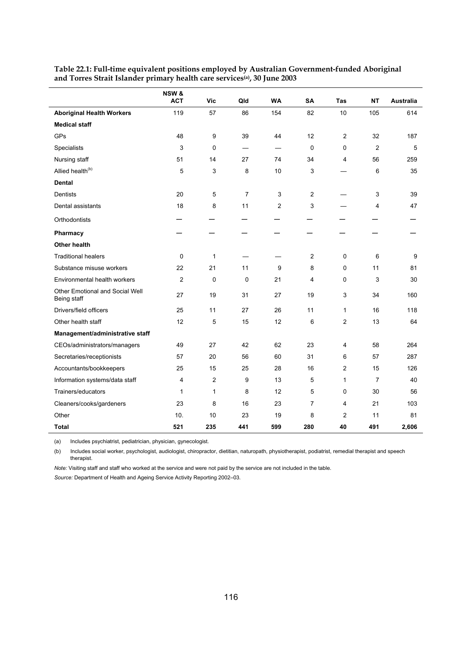|                                                | NSW &<br><b>ACT</b> | <b>Vic</b>     | Qld                      | <b>WA</b>                         | SA             | Tas            | <b>NT</b>      | Australia |
|------------------------------------------------|---------------------|----------------|--------------------------|-----------------------------------|----------------|----------------|----------------|-----------|
| <b>Aboriginal Health Workers</b>               | 119                 | 57             | 86                       | 154                               | 82             | 10             | 105            | 614       |
| <b>Medical staff</b>                           |                     |                |                          |                                   |                |                |                |           |
| GPs                                            | 48                  | 9              | 39                       | 44                                | 12             | $\overline{2}$ | 32             | 187       |
| Specialists                                    | 3                   | $\mathbf 0$    | $\overline{\phantom{0}}$ | $\overbrace{\phantom{123221111}}$ | 0              | 0              | $\overline{2}$ | 5         |
| Nursing staff                                  | 51                  | 14             | 27                       | 74                                | 34             | 4              | 56             | 259       |
| Allied health <sup>(b)</sup>                   | 5                   | 3              | 8                        | 10                                | 3              |                | 6              | 35        |
| <b>Dental</b>                                  |                     |                |                          |                                   |                |                |                |           |
| <b>Dentists</b>                                | 20                  | 5              | $\overline{7}$           | 3                                 | 2              |                | 3              | 39        |
| Dental assistants                              | 18                  | 8              | 11                       | $\overline{2}$                    | 3              |                | 4              | 47        |
| Orthodontists                                  |                     |                |                          |                                   |                |                |                |           |
| Pharmacy                                       |                     |                |                          |                                   |                |                |                |           |
| <b>Other health</b>                            |                     |                |                          |                                   |                |                |                |           |
| <b>Traditional healers</b>                     | 0                   | 1              |                          |                                   | $\overline{2}$ | $\pmb{0}$      | 6              | 9         |
| Substance misuse workers                       | 22                  | 21             | 11                       | 9                                 | 8              | 0              | 11             | 81        |
| Environmental health workers                   | $\overline{c}$      | $\mathbf 0$    | 0                        | 21                                | 4              | 0              | 3              | 30        |
| Other Emotional and Social Well<br>Being staff | 27                  | 19             | 31                       | 27                                | 19             | 3              | 34             | 160       |
| Drivers/field officers                         | 25                  | 11             | 27                       | 26                                | 11             | $\mathbf{1}$   | 16             | 118       |
| Other health staff                             | 12                  | 5              | 15                       | 12                                | 6              | $\overline{2}$ | 13             | 64        |
| Management/administrative staff                |                     |                |                          |                                   |                |                |                |           |
| CEOs/administrators/managers                   | 49                  | 27             | 42                       | 62                                | 23             | 4              | 58             | 264       |
| Secretaries/receptionists                      | 57                  | 20             | 56                       | 60                                | 31             | 6              | 57             | 287       |
| Accountants/bookkeepers                        | 25                  | 15             | 25                       | 28                                | 16             | $\overline{2}$ | 15             | 126       |
| Information systems/data staff                 | 4                   | $\overline{2}$ | 9                        | 13                                | 5              | $\mathbf{1}$   | $\overline{7}$ | 40        |
| Trainers/educators                             | 1                   | 1              | 8                        | 12                                | 5              | 0              | 30             | 56        |
| Cleaners/cooks/gardeners                       | 23                  | 8              | 16                       | 23                                | $\overline{7}$ | 4              | 21             | 103       |
| Other                                          | 10.                 | 10             | 23                       | 19                                | 8              | $\overline{2}$ | 11             | 81        |
| <b>Total</b>                                   | 521                 | 235            | 441                      | 599                               | 280            | 40             | 491            | 2,606     |

**Table 22.1: Full-time equivalent positions employed by Australian Government-funded Aboriginal and Torres Strait Islander primary health care services(a), 30 June 2003** 

(a) Includes psychiatrist, pediatrician, physician, gynecologist.

(b) Includes social worker, psychologist, audiologist, chiropractor, dietitian, naturopath, physiotherapist, podiatrist, remedial therapist and speech therapist.

*Note:* Visiting staff and staff who worked at the service and were not paid by the service are not included in the table. *Source:* Department of Health and Ageing Service Activity Reporting 2002–03.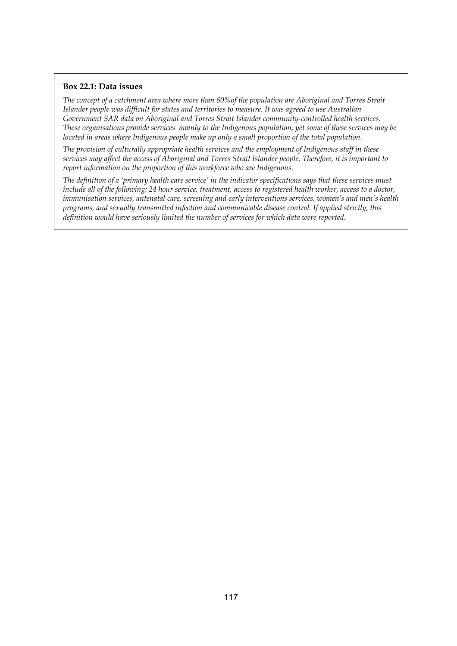#### **Box 22.1: Data issues**

*The concept of a catchment area where more than 60%of the population are Aboriginal and Torres Strait Islander people was difficult for states and territories to measure. It was agreed to use Australian Government SAR data on Aboriginal and Torres Strait Islander community-controlled health services. These organisations provide services mainly to the Indigenous population, yet some of these services may be located in areas where Indigenous people make up only a small proportion of the total population.* 

*The provision of culturally appropriate health services and the employment of Indigenous staff in these services may affect the access of Aboriginal and Torres Strait Islander people. Therefore, it is important to report information on the proportion of this workforce who are Indigenous.* 

*The definition of a 'primary health care service' in the indicator specifications says that these services must include all of the following: 24 hour service, treatment, access to registered health worker, access to a doctor, immunisation services, antenatal care, screening and early interventions services, women's and men's health programs, and sexually transmitted infection and communicable disease control. If applied strictly, this definition would have seriously limited the number of services for which data were reported.*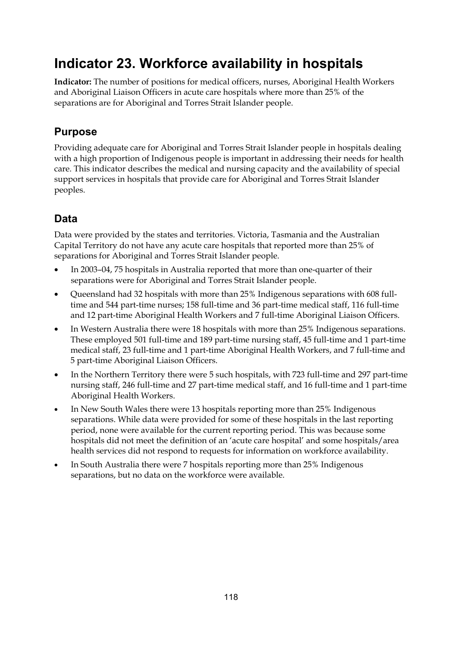# **Indicator 23. Workforce availability in hospitals**

**Indicator:** The number of positions for medical officers, nurses, Aboriginal Health Workers and Aboriginal Liaison Officers in acute care hospitals where more than 25% of the separations are for Aboriginal and Torres Strait Islander people.

# **Purpose**

Providing adequate care for Aboriginal and Torres Strait Islander people in hospitals dealing with a high proportion of Indigenous people is important in addressing their needs for health care. This indicator describes the medical and nursing capacity and the availability of special support services in hospitals that provide care for Aboriginal and Torres Strait Islander peoples.

# **Data**

Data were provided by the states and territories. Victoria, Tasmania and the Australian Capital Territory do not have any acute care hospitals that reported more than 25% of separations for Aboriginal and Torres Strait Islander people.

- In 2003–04, 75 hospitals in Australia reported that more than one-quarter of their separations were for Aboriginal and Torres Strait Islander people.
- Queensland had 32 hospitals with more than 25% Indigenous separations with 608 fulltime and 544 part-time nurses; 158 full-time and 36 part-time medical staff, 116 full-time and 12 part-time Aboriginal Health Workers and 7 full-time Aboriginal Liaison Officers.
- In Western Australia there were 18 hospitals with more than 25% Indigenous separations. These employed 501 full-time and 189 part-time nursing staff, 45 full-time and 1 part-time medical staff, 23 full-time and 1 part-time Aboriginal Health Workers, and 7 full-time and 5 part-time Aboriginal Liaison Officers.
- In the Northern Territory there were 5 such hospitals, with 723 full-time and 297 part-time nursing staff, 246 full-time and 27 part-time medical staff, and 16 full-time and 1 part-time Aboriginal Health Workers.
- In New South Wales there were 13 hospitals reporting more than 25% Indigenous separations. While data were provided for some of these hospitals in the last reporting period, none were available for the current reporting period. This was because some hospitals did not meet the definition of an 'acute care hospital' and some hospitals/area health services did not respond to requests for information on workforce availability.
- In South Australia there were 7 hospitals reporting more than 25% Indigenous separations, but no data on the workforce were available.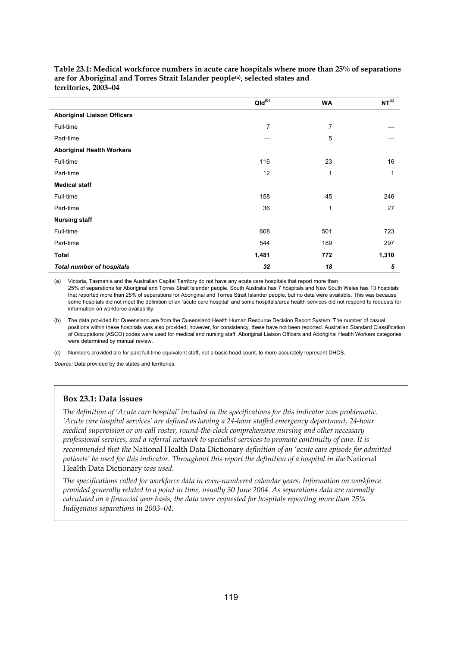|                                    | $Qld^{(b)}$    | <b>WA</b>    | NT <sup>(c)</sup> |
|------------------------------------|----------------|--------------|-------------------|
| <b>Aboriginal Liaison Officers</b> |                |              |                   |
| Full-time                          | $\overline{7}$ | 7            |                   |
| Part-time                          |                | 5            |                   |
| <b>Aboriginal Health Workers</b>   |                |              |                   |
| Full-time                          | 116            | 23           | 16                |
| Part-time                          | 12             | 1            | 1                 |
| <b>Medical staff</b>               |                |              |                   |
| Full-time                          | 158            | 45           | 246               |
| Part-time                          | 36             | $\mathbf{1}$ | 27                |
| <b>Nursing staff</b>               |                |              |                   |
| Full-time                          | 608            | 501          | 723               |
| Part-time                          | 544            | 189          | 297               |
| <b>Total</b>                       | 1,481          | 772          | 1,310             |
| <b>Total number of hospitals</b>   | 32             | 18           | 5                 |

**Table 23.1: Medical workforce numbers in acute care hospitals where more than 25% of separations**  are for Aboriginal and Torres Strait Islander people<sup>(a)</sup>, selected states and **territories, 2003–04** 

(a) Victoria, Tasmania and the Australian Capital Territory do not have any acute care hospitals that report more than 25% of separations for Aboriginal and Torres Strait Islander people. South Australia has 7 hospitals and New South Wales has 13 hospitals that reported more than 25% of separations for Aboriginal and Torres Strait Islander people, but no data were available. This was because some hospitals did not meet the definition of an 'acute care hospital' and some hospitals/area health services did not respond to requests for information on workforce availability.

(b) The data provided for Queensland are from the Queensland Health Human Resource Decision Report System. The number of casual positions within these hospitals was also provided; however, for consistency, these have not been reported. Australian Standard Classification of Occupations (ASCO) codes were used for medical and nursing staff. Aboriginal Liaison Officers and Aboriginal Health Workers categories were determined by manual review.

(c) Numbers provided are for paid full-time equivalent staff, not a basic head count, to more accurately represent DHCS.

*Source:* Data provided by the states and territories.

#### **Box 23.1: Data issues**

*The definition of 'Acute care hospital' included in the specifications for this indicator was problematic. 'Acute care hospital services' are defined as having a 24-hour staffed emergency department, 24-hour medical supervision or on-call roster, round-the-clock comprehensive nursing and other necessary professional services, and a referral network to specialist services to promote continuity of care. It is recommended that the* National Health Data Dictionary *definition of an 'acute care episode for admitted patients' be used for this indicator. Throughout this report the definition of a hospital in the* National Health Data Dictionary *was used*.

*The specifications called for workforce data in even-numbered calendar years. Information on workforce provided generally related to a point in time, usually 30 June 2004. As separations data are normally calculated on a financial year basis, the data were requested for hospitals reporting more than 25% Indigenous separations in 2003–04.*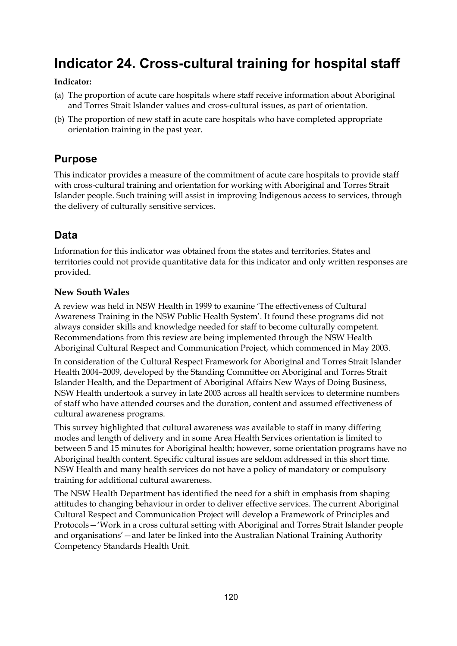# **Indicator 24. Cross-cultural training for hospital staff**

#### **Indicator:**

- (a) The proportion of acute care hospitals where staff receive information about Aboriginal and Torres Strait Islander values and cross-cultural issues, as part of orientation.
- (b) The proportion of new staff in acute care hospitals who have completed appropriate orientation training in the past year.

# **Purpose**

This indicator provides a measure of the commitment of acute care hospitals to provide staff with cross-cultural training and orientation for working with Aboriginal and Torres Strait Islander people. Such training will assist in improving Indigenous access to services, through the delivery of culturally sensitive services.

# **Data**

Information for this indicator was obtained from the states and territories. States and territories could not provide quantitative data for this indicator and only written responses are provided.

### **New South Wales**

A review was held in NSW Health in 1999 to examine 'The effectiveness of Cultural Awareness Training in the NSW Public Health System'. It found these programs did not always consider skills and knowledge needed for staff to become culturally competent. Recommendations from this review are being implemented through the NSW Health Aboriginal Cultural Respect and Communication Project, which commenced in May 2003.

In consideration of the Cultural Respect Framework for Aboriginal and Torres Strait Islander Health 2004–2009, developed by the Standing Committee on Aboriginal and Torres Strait Islander Health, and the Department of Aboriginal Affairs New Ways of Doing Business, NSW Health undertook a survey in late 2003 across all health services to determine numbers of staff who have attended courses and the duration, content and assumed effectiveness of cultural awareness programs.

This survey highlighted that cultural awareness was available to staff in many differing modes and length of delivery and in some Area Health Services orientation is limited to between 5 and 15 minutes for Aboriginal health; however, some orientation programs have no Aboriginal health content. Specific cultural issues are seldom addressed in this short time. NSW Health and many health services do not have a policy of mandatory or compulsory training for additional cultural awareness.

The NSW Health Department has identified the need for a shift in emphasis from shaping attitudes to changing behaviour in order to deliver effective services. The current Aboriginal Cultural Respect and Communication Project will develop a Framework of Principles and Protocols—'Work in a cross cultural setting with Aboriginal and Torres Strait Islander people and organisations'—and later be linked into the Australian National Training Authority Competency Standards Health Unit.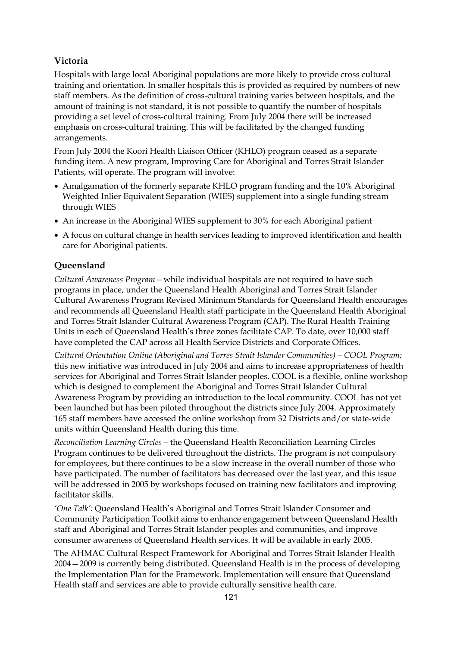# **Victoria**

Hospitals with large local Aboriginal populations are more likely to provide cross cultural training and orientation. In smaller hospitals this is provided as required by numbers of new staff members. As the definition of cross-cultural training varies between hospitals, and the amount of training is not standard, it is not possible to quantify the number of hospitals providing a set level of cross-cultural training. From July 2004 there will be increased emphasis on cross-cultural training. This will be facilitated by the changed funding arrangements.

From July 2004 the Koori Health Liaison Officer (KHLO) program ceased as a separate funding item. A new program, Improving Care for Aboriginal and Torres Strait Islander Patients, will operate. The program will involve:

- Amalgamation of the formerly separate KHLO program funding and the 10% Aboriginal Weighted Inlier Equivalent Separation (WIES) supplement into a single funding stream through WIES
- An increase in the Aboriginal WIES supplement to 30% for each Aboriginal patient
- A focus on cultural change in health services leading to improved identification and health care for Aboriginal patients.

# **Queensland**

*Cultural Awareness Program—*while individual hospitals are not required to have such programs in place, under the Queensland Health Aboriginal and Torres Strait Islander Cultural Awareness Program Revised Minimum Standards for Queensland Health encourages and recommends all Queensland Health staff participate in the Queensland Health Aboriginal and Torres Strait Islander Cultural Awareness Program (CAP). The Rural Health Training Units in each of Queensland Health's three zones facilitate CAP. To date, over 10,000 staff have completed the CAP across all Health Service Districts and Corporate Offices.

*Cultural Orientation Online (Aboriginal and Torres Strait Islander Communities)—COOL Program:* this new initiative was introduced in July 2004 and aims to increase appropriateness of health services for Aboriginal and Torres Strait Islander peoples. COOL is a flexible, online workshop which is designed to complement the Aboriginal and Torres Strait Islander Cultural Awareness Program by providing an introduction to the local community. COOL has not yet been launched but has been piloted throughout the districts since July 2004. Approximately 165 staff members have accessed the online workshop from 32 Districts and/or state-wide units within Queensland Health during this time.

*Reconciliation Learning Circles—*the Queensland Health Reconciliation Learning Circles Program continues to be delivered throughout the districts. The program is not compulsory for employees, but there continues to be a slow increase in the overall number of those who have participated. The number of facilitators has decreased over the last year, and this issue will be addressed in 2005 by workshops focused on training new facilitators and improving facilitator skills.

*'One Talk':* Queensland Health's Aboriginal and Torres Strait Islander Consumer and Community Participation Toolkit aims to enhance engagement between Queensland Health staff and Aboriginal and Torres Strait Islander peoples and communities, and improve consumer awareness of Queensland Health services. It will be available in early 2005.

The AHMAC Cultural Respect Framework for Aboriginal and Torres Strait Islander Health 2004—2009 is currently being distributed. Queensland Health is in the process of developing the Implementation Plan for the Framework. Implementation will ensure that Queensland Health staff and services are able to provide culturally sensitive health care.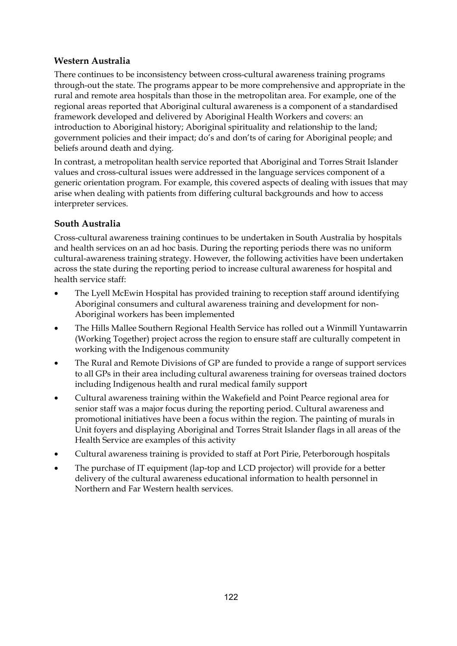# **Western Australia**

There continues to be inconsistency between cross-cultural awareness training programs through-out the state. The programs appear to be more comprehensive and appropriate in the rural and remote area hospitals than those in the metropolitan area. For example, one of the regional areas reported that Aboriginal cultural awareness is a component of a standardised framework developed and delivered by Aboriginal Health Workers and covers: an introduction to Aboriginal history; Aboriginal spirituality and relationship to the land; government policies and their impact; do's and don'ts of caring for Aboriginal people; and beliefs around death and dying.

In contrast, a metropolitan health service reported that Aboriginal and Torres Strait Islander values and cross-cultural issues were addressed in the language services component of a generic orientation program. For example, this covered aspects of dealing with issues that may arise when dealing with patients from differing cultural backgrounds and how to access interpreter services.

## **South Australia**

Cross-cultural awareness training continues to be undertaken in South Australia by hospitals and health services on an ad hoc basis. During the reporting periods there was no uniform cultural-awareness training strategy. However, the following activities have been undertaken across the state during the reporting period to increase cultural awareness for hospital and health service staff:

- The Lyell McEwin Hospital has provided training to reception staff around identifying Aboriginal consumers and cultural awareness training and development for non-Aboriginal workers has been implemented
- The Hills Mallee Southern Regional Health Service has rolled out a Winmill Yuntawarrin (Working Together) project across the region to ensure staff are culturally competent in working with the Indigenous community
- The Rural and Remote Divisions of GP are funded to provide a range of support services to all GPs in their area including cultural awareness training for overseas trained doctors including Indigenous health and rural medical family support
- Cultural awareness training within the Wakefield and Point Pearce regional area for senior staff was a major focus during the reporting period. Cultural awareness and promotional initiatives have been a focus within the region. The painting of murals in Unit foyers and displaying Aboriginal and Torres Strait Islander flags in all areas of the Health Service are examples of this activity
- Cultural awareness training is provided to staff at Port Pirie, Peterborough hospitals
- The purchase of IT equipment (lap-top and LCD projector) will provide for a better delivery of the cultural awareness educational information to health personnel in Northern and Far Western health services.